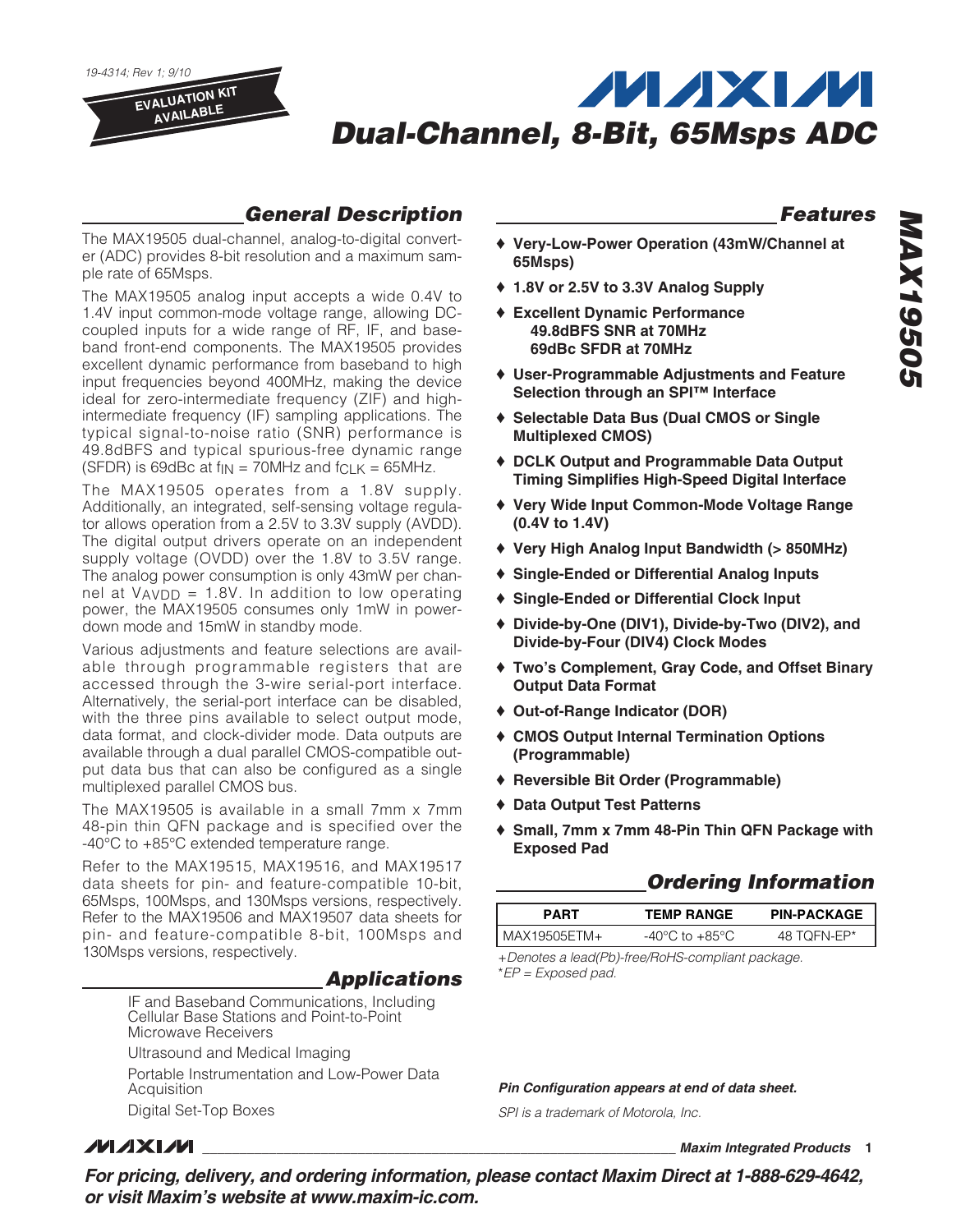



## **General Description**

The MAX19505 dual-channel, analog-to-digital converter (ADC) provides 8-bit resolution and a maximum sample rate of 65Msps.

The MAX19505 analog input accepts a wide 0.4V to 1.4V input common-mode voltage range, allowing DCcoupled inputs for a wide range of RF, IF, and baseband front-end components. The MAX19505 provides excellent dynamic performance from baseband to high input frequencies beyond 400MHz, making the device ideal for zero-intermediate frequency (ZIF) and highintermediate frequency (IF) sampling applications. The typical signal-to-noise ratio (SNR) performance is 49.8dBFS and typical spurious-free dynamic range (SFDR) is 69dBc at  $f_{IN}$  = 70MHz and  $f_{CLK}$  = 65MHz.

The MAX19505 operates from a 1.8V supply. Additionally, an integrated, self-sensing voltage regulator allows operation from a 2.5V to 3.3V supply (AVDD). The digital output drivers operate on an independent supply voltage (OVDD) over the 1.8V to 3.5V range. The analog power consumption is only 43mW per channel at  $V_{AVDD}$  = 1.8V. In addition to low operating power, the MAX19505 consumes only 1mW in powerdown mode and 15mW in standby mode.

Various adjustments and feature selections are available through programmable registers that are accessed through the 3-wire serial-port interface. Alternatively, the serial-port interface can be disabled, with the three pins available to select output mode, data format, and clock-divider mode. Data outputs are available through a dual parallel CMOS-compatible output data bus that can also be configured as a single multiplexed parallel CMOS bus.

The MAX19505 is available in a small 7mm x 7mm 48-pin thin QFN package and is specified over the -40°C to +85°C extended temperature range.

Refer to the MAX19515, MAX19516, and MAX19517 data sheets for pin- and feature-compatible 10-bit, 65Msps, 100Msps, and 130Msps versions, respectively. Refer to the MAX19506 and MAX19507 data sheets for pin- and feature-compatible 8-bit, 100Msps and 130Msps versions, respectively.

### **Applications**

IF and Baseband Communications, Including Cellular Base Stations and Point-to-Point Microwave Receivers

Ultrasound and Medical Imaging

Portable Instrumentation and Low-Power Data Acquisition

Digital Set-Top Boxes

### **Features**

- ♦ **Very-Low-Power Operation (43mW/Channel at 65Msps)**
- ♦ **1.8V or 2.5V to 3.3V Analog Supply**
- ♦ **Excellent Dynamic Performance 49.8dBFS SNR at 70MHz 69dBc SFDR at 70MHz**
- ♦ **User-Programmable Adjustments and Feature Selection through an SPI™ Interface**
- ♦ **Selectable Data Bus (Dual CMOS or Single Multiplexed CMOS)**
- ♦ **DCLK Output and Programmable Data Output Timing Simplifies High-Speed Digital Interface**
- ♦ **Very Wide Input Common-Mode Voltage Range (0.4V to 1.4V)**
- ♦ **Very High Analog Input Bandwidth (> 850MHz)**
- ♦ **Single-Ended or Differential Analog Inputs**
- ♦ **Single-Ended or Differential Clock Input**
- ♦ **Divide-by-One (DIV1), Divide-by-Two (DIV2), and Divide-by-Four (DIV4) Clock Modes**
- ♦ **Two's Complement, Gray Code, and Offset Binary Output Data Format**
- ♦ **Out-of-Range Indicator (DOR)**
- ♦ **CMOS Output Internal Termination Options (Programmable)**
- ♦ **Reversible Bit Order (Programmable)**
- ♦ **Data Output Test Patterns**
- ♦ **Small, 7mm x 7mm 48-Pin Thin QFN Package with Exposed Pad**

### **Ordering Information**

| PART           | <b>TEMP RANGE</b> | <b>PIN-PACKAGE</b> |
|----------------|-------------------|--------------------|
| I MAX19505ETM+ | -40°C to +85°C    | TOFN-FP*           |

+Denotes a lead(Pb)-free/RoHS-compliant package. \*EP = Exposed pad.

**Pin Configuration appears at end of data sheet.**

SPI is a trademark of Motorola, Inc.

## **MAXM**

**\_\_\_\_\_\_\_\_\_\_\_\_\_\_\_\_\_\_\_\_\_\_\_\_\_\_\_\_\_\_\_\_\_\_\_\_\_\_\_\_\_\_\_\_\_\_\_\_\_\_\_\_\_\_\_\_\_\_\_\_\_\_\_\_ Maxim Integrated Products 1**

**For pricing, delivery, and ordering information, please contact Maxim Direct at 1-888-629-4642, or visit Maxim's website at www.maxim-ic.com.**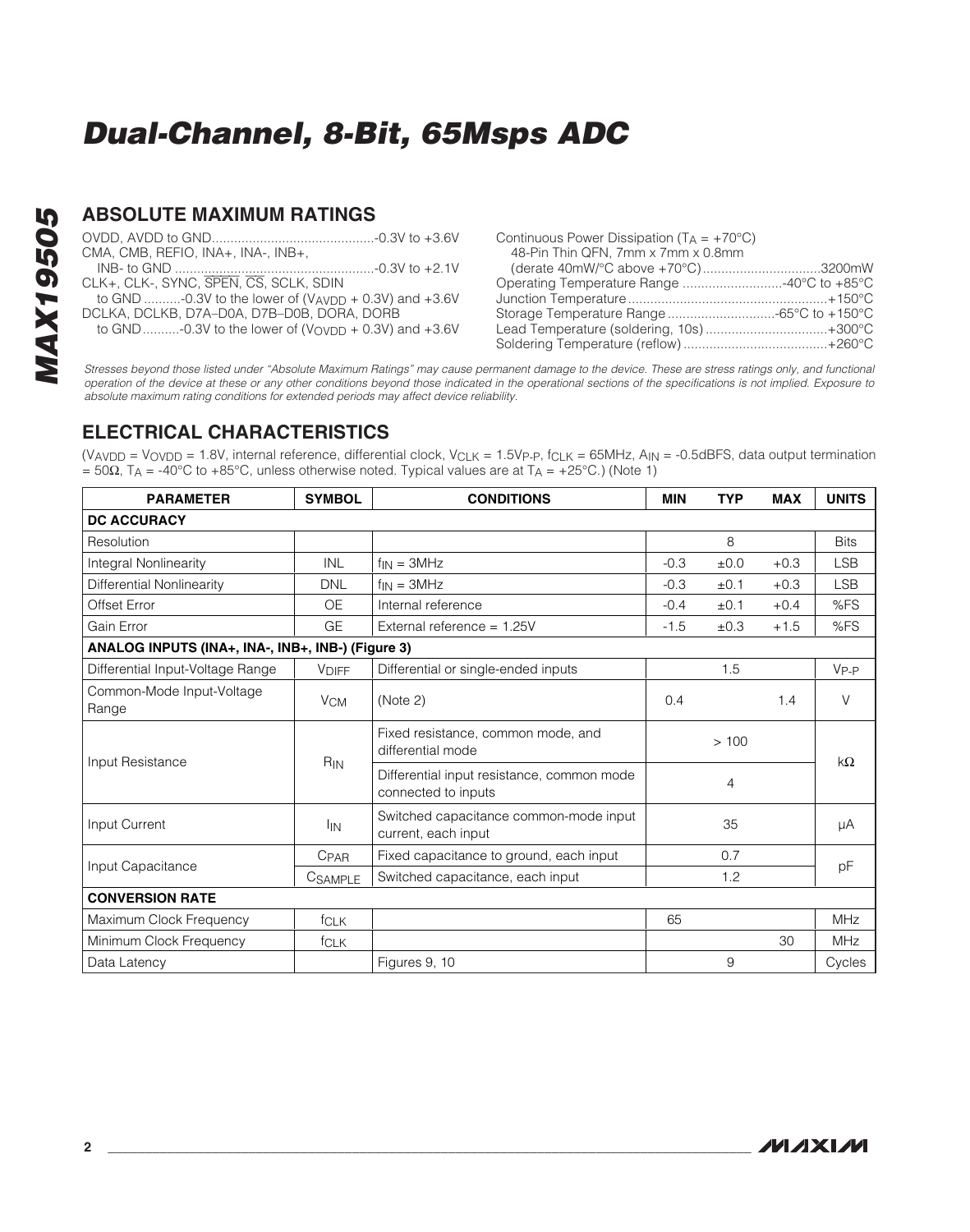### **ABSOLUTE MAXIMUM RATINGS**

|                                                         | Continuous Power Dissipation $(T_A = +70^{\circ}C)$ |  |
|---------------------------------------------------------|-----------------------------------------------------|--|
| CMA, CMB, REFIO, INA+, INA-, INB+,                      | 48-Pin Thin QFN, 7mm x 7mm x 0.8mm                  |  |
|                                                         | (derate 40mW/°C above +70°C)3200mW                  |  |
| CLK+, CLK-, SYNC, SPEN, CS, SCLK, SDIN                  |                                                     |  |
| to GND -0.3V to the lower of (VAVDD + 0.3V) and $+3.6V$ |                                                     |  |
| DCLKA, DCLKB, D7A-D0A, D7B-D0B, DORA, DORB              |                                                     |  |
| to GND -0.3V to the lower of (Voypp + 0.3V) and $+3.6V$ | Lead Temperature (soldering, 10s)+300°C             |  |
|                                                         |                                                     |  |

Stresses beyond those listed under "Absolute Maximum Ratings" may cause permanent damage to the device. These are stress ratings only, and functional operation of the device at these or any other conditions beyond those indicated in the operational sections of the specifications is not implied. Exposure to absolute maximum rating conditions for extended periods may affect device reliability.

### **ELECTRICAL CHARACTERISTICS**

 $(V_{AVDD} = V_{OVDD} = 1.8V$ , internal reference, differential clock,  $V_{CLK} = 1.5V_{P-P}$ ,  $f_{CLK} = 65MHz$ ,  $A_{IN} = -0.5dBFS$ , data output termination  $= 50Ω$ , TA = -40°C to +85°C, unless otherwise noted. Typical values are at TA = +25°C.) (Note 1)

| <b>PARAMETER</b>                                  | <b>SYMBOL</b>         | <b>CONDITIONS</b>                                                 |        | <b>TYP</b> | <b>MAX</b> | <b>UNITS</b> |
|---------------------------------------------------|-----------------------|-------------------------------------------------------------------|--------|------------|------------|--------------|
| <b>DC ACCURACY</b>                                |                       |                                                                   |        |            |            |              |
| Resolution                                        |                       |                                                                   |        | 8          |            | <b>Bits</b>  |
| Integral Nonlinearity                             | <b>INL</b>            | $f_{IN} = 3MHz$                                                   | $-0.3$ | ±0.0       | $+0.3$     | <b>LSB</b>   |
| Differential Nonlinearity                         | <b>DNL</b>            | $f_{IN} = 3MHz$                                                   | $-0.3$ | ±0.1       | $+0.3$     | <b>LSB</b>   |
| Offset Error                                      | <b>OE</b>             | Internal reference                                                | $-0.4$ | ±0.1       | $+0.4$     | %FS          |
| Gain Error                                        | GE                    | External reference = $1.25V$                                      | $-1.5$ | $\pm 0.3$  | $+1.5$     | %FS          |
| ANALOG INPUTS (INA+, INA-, INB+, INB-) (Figure 3) |                       |                                                                   |        |            |            |              |
| Differential Input-Voltage Range                  | <b>VDIFF</b>          | Differential or single-ended inputs                               |        | 1.5        |            | $V_{P-P}$    |
| Common-Mode Input-Voltage<br>Range                | <b>V<sub>CM</sub></b> | (Note 2)<br>0.4                                                   |        |            | 1.4        | $\vee$       |
| Input Resistance                                  |                       | Fixed resistance, common mode, and<br>differential mode           | >100   |            | $k\Omega$  |              |
|                                                   | R <sub>IN</sub>       | Differential input resistance, common mode<br>connected to inputs | 4      |            |            |              |
| Input Current                                     | <sup>I</sup> IN       | Switched capacitance common-mode input<br>current, each input     | 35     |            | μA         |              |
| Input Capacitance                                 | CPAR                  | Fixed capacitance to ground, each input                           |        | 0.7        |            |              |
|                                                   | CSAMPLE               | Switched capacitance, each input                                  |        | 1.2        |            | pF           |
| <b>CONVERSION RATE</b>                            |                       |                                                                   |        |            |            |              |
| Maximum Clock Frequency                           | <b>fCLK</b>           |                                                                   | 65     |            |            | <b>MHz</b>   |
| Minimum Clock Frequency                           | <b>fCLK</b>           |                                                                   |        |            | 30         | <b>MHz</b>   |
| Data Latency                                      |                       | Figures 9, 10                                                     |        | 9          |            | Cycles       |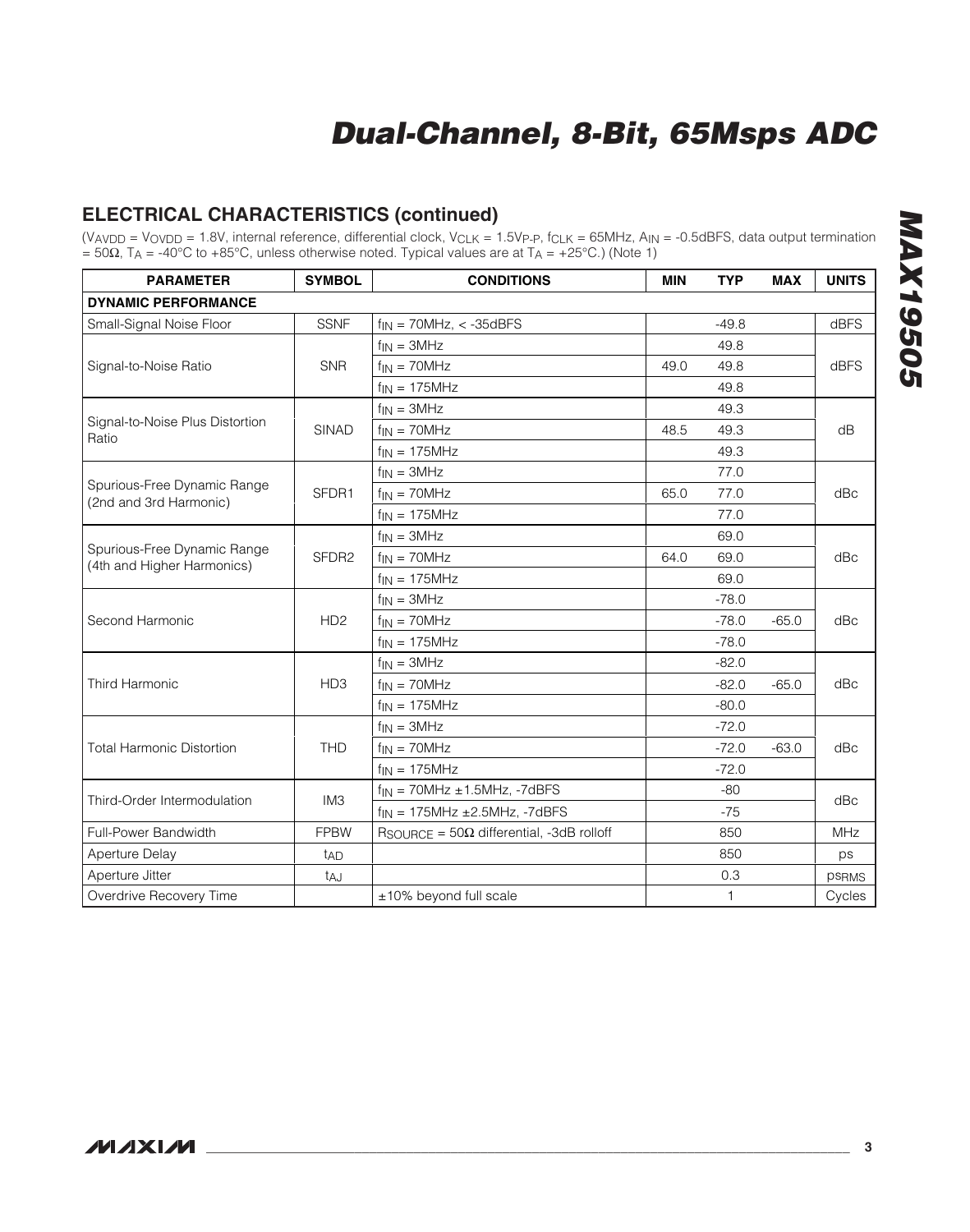## **ELECTRICAL CHARACTERISTICS (continued)**

| <b>PARAMETER</b>                                          | <b>SYMBOL</b>     | <b>CONDITIONS</b>                                         | <b>MIN</b> | <b>TYP</b>   | <b>MAX</b>     | <b>UNITS</b> |  |
|-----------------------------------------------------------|-------------------|-----------------------------------------------------------|------------|--------------|----------------|--------------|--|
| <b>DYNAMIC PERFORMANCE</b>                                |                   |                                                           |            |              |                |              |  |
| Small-Signal Noise Floor                                  | <b>SSNF</b>       | $f_{IN}$ = 70MHz, < -35dBFS                               |            | $-49.8$      |                | dBFS         |  |
|                                                           |                   | $f_{IN} = 3MHz$                                           |            | 49.8         |                | dBFS         |  |
| Signal-to-Noise Ratio                                     | <b>SNR</b>        | $f_{IN} = 70MHz$                                          | 49.0       | 49.8         |                |              |  |
|                                                           |                   | $f_{IN} = 175MHz$                                         |            | 49.8         |                |              |  |
|                                                           |                   | $f_{IN} = 3MHz$                                           |            | 49.3         |                |              |  |
| Signal-to-Noise Plus Distortion<br>Ratio                  | <b>SINAD</b>      | $f_{IN} = 70MHz$                                          | 48.5       | 49.3         |                | dB           |  |
|                                                           |                   | $f_{IN} = 175MHz$                                         |            | 49.3         |                |              |  |
|                                                           |                   | $f_{IN} = 3MHz$                                           |            | 77.0         |                |              |  |
| Spurious-Free Dynamic Range<br>(2nd and 3rd Harmonic)     | SFDR1             | $f_{IN} = 70MHz$                                          | 65.0       | 77.0         |                | dBc          |  |
|                                                           |                   | $f_{IN}$ = 175MHz                                         |            | 77.0         |                |              |  |
| Spurious-Free Dynamic Range<br>(4th and Higher Harmonics) |                   | $f_{IN} = 3MHz$                                           |            | 69.0         |                | dBc          |  |
|                                                           | SFDR <sub>2</sub> | $f_{IN} = 70MHz$                                          | 64.0       | 69.0         |                |              |  |
|                                                           |                   | $f_{IN}$ = 175MHz                                         |            | 69.0         |                |              |  |
|                                                           |                   | $f_{IN} = 3MHz$                                           |            | $-78.0$      |                |              |  |
| Second Harmonic                                           | HD <sub>2</sub>   | $f_{IN} = 70MHz$                                          |            | $-78.0$      | $-65.0$<br>dBc |              |  |
|                                                           |                   | $f_{IN} = 175MHz$                                         |            | $-78.0$      |                |              |  |
|                                                           |                   | $f_{IN} = 3MHz$                                           |            | $-82.0$      |                |              |  |
| Third Harmonic                                            | HD <sub>3</sub>   | $f_{IN} = 70MHz$                                          |            | $-82.0$      | $-65.0$        | dBc          |  |
|                                                           |                   | $f_{IN} = 175MHz$                                         |            | $-80.0$      |                |              |  |
|                                                           |                   | $f_{IN} = 3MHz$                                           |            | $-72.0$      |                |              |  |
| <b>Total Harmonic Distortion</b>                          | <b>THD</b>        | $f_{IN} = 70MHz$                                          |            | $-72.0$      | $-63.0$        | dBc          |  |
|                                                           |                   | $f_{IN} = 175MHz$                                         |            | $-72.0$      |                |              |  |
|                                                           |                   | $f_{IN}$ = 70MHz $\pm$ 1.5MHz, -7dBFS                     |            | $-80$        |                |              |  |
| Third-Order Intermodulation                               | IM <sub>3</sub>   | $f_{IN}$ = 175MHz $\pm$ 2.5MHz, -7dBFS                    |            | $-75$        |                | dBc          |  |
| Full-Power Bandwidth                                      | <b>FPBW</b>       | $R_{\text{SOURCE}} = 50\Omega$ differential, -3dB rolloff |            | 850          |                | MHz          |  |
| Aperture Delay                                            | t <sub>AD</sub>   |                                                           |            | 850          |                | ps           |  |
| Aperture Jitter                                           | taJ               |                                                           |            | 0.3          |                | <b>PSRMS</b> |  |
| Overdrive Recovery Time                                   |                   | $±10\%$ beyond full scale                                 |            | $\mathbf{1}$ |                | Cycles       |  |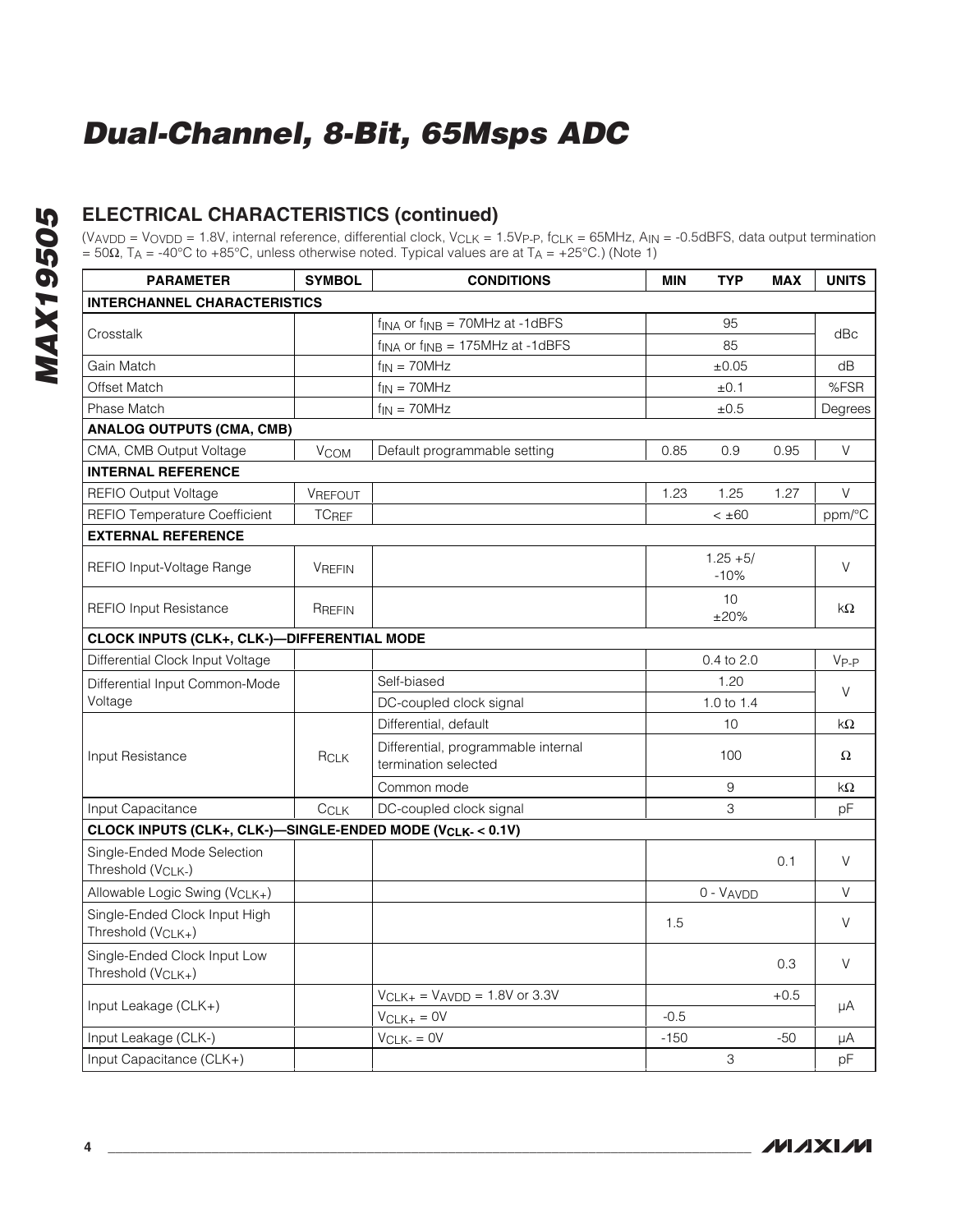## **ELECTRICAL CHARACTERISTICS (continued)**

| <b>PARAMETER</b>                                                | <b>SYMBOL</b> | <b>CONDITIONS</b>                                               | MIN    | TYP                   | <b>MAX</b> | <b>UNITS</b> |  |
|-----------------------------------------------------------------|---------------|-----------------------------------------------------------------|--------|-----------------------|------------|--------------|--|
| <b>INTERCHANNEL CHARACTERISTICS</b>                             |               |                                                                 |        |                       |            |              |  |
|                                                                 |               | $f_{\text{INA}}$ or $f_{\text{INB}} = 70$ MHz at -1dBFS         |        | 95                    |            |              |  |
| Crosstalk                                                       |               | $f_{\text{INA}}$ or $f_{\text{INB}} = 175 \text{MHz}$ at -1dBFS |        | 85                    |            | dBc          |  |
| Gain Match                                                      |               | $f_{IN} = 70MHz$                                                |        | ±0.05                 |            | dB           |  |
| <b>Offset Match</b>                                             |               | $f_{IN} = 70MHz$                                                |        | ±0.1                  |            | %FSR         |  |
| Phase Match                                                     |               | $f_{IN} = 70MHz$                                                |        | ±0.5                  |            | Degrees      |  |
| <b>ANALOG OUTPUTS (CMA, CMB)</b>                                |               |                                                                 |        |                       |            |              |  |
| CMA, CMB Output Voltage                                         | <b>VCOM</b>   | Default programmable setting                                    | 0.85   | 0.9                   | 0.95       | V            |  |
| <b>INTERNAL REFERENCE</b>                                       |               |                                                                 |        |                       |            |              |  |
| <b>REFIO Output Voltage</b>                                     | VREFOUT       |                                                                 | 1.23   | 1.25                  | 1.27       | V            |  |
| <b>REFIO Temperature Coefficient</b>                            | <b>TCREF</b>  |                                                                 |        | $< \pm 60$            |            | ppm/°C       |  |
| <b>EXTERNAL REFERENCE</b>                                       |               |                                                                 |        |                       |            |              |  |
| REFIO Input-Voltage Range                                       | <b>VREFIN</b> |                                                                 |        | $1.25 + 5/$<br>$-10%$ |            | $\vee$       |  |
| <b>REFIO Input Resistance</b>                                   | RREFIN        |                                                                 |        | 10<br>±20%            |            | kΩ           |  |
| CLOCK INPUTS (CLK+, CLK-)-DIFFERENTIAL MODE                     |               |                                                                 |        |                       |            |              |  |
| Differential Clock Input Voltage                                |               |                                                                 |        | $0.4$ to $2.0$        |            | $V_{P-P}$    |  |
| Differential Input Common-Mode                                  |               | Self-biased                                                     |        | 1.20                  |            |              |  |
| Voltage                                                         |               | DC-coupled clock signal                                         |        | 1.0 to $1.4$          |            | V            |  |
|                                                                 |               | Differential, default                                           |        | 10                    |            | kΩ           |  |
| Input Resistance                                                | <b>RCLK</b>   | Differential, programmable internal<br>termination selected     |        | 100                   |            | $\Omega$     |  |
|                                                                 |               | Common mode                                                     |        | 9                     |            | $k\Omega$    |  |
| Input Capacitance                                               | CCLK          | DC-coupled clock signal                                         |        | З                     |            | рF           |  |
| CLOCK INPUTS (CLK+, CLK-)-SINGLE-ENDED MODE (VCLK-< 0.1V)       |               |                                                                 |        |                       |            |              |  |
| Single-Ended Mode Selection<br>Threshold (V <sub>CLK-</sub> )   |               |                                                                 |        |                       | 0.1        | $\vee$       |  |
| Allowable Logic Swing (VCLK+)                                   |               |                                                                 |        | $0 - VAVDD$           |            | V            |  |
| Single-Ended Clock Input High<br>Threshold (V <sub>CLK+</sub> ) |               |                                                                 | 1.5    |                       |            | $\vee$       |  |
| Single-Ended Clock Input Low<br>Threshold (V <sub>CLK+</sub> )  |               |                                                                 |        |                       | 0.3        | $\vee$       |  |
|                                                                 |               | $V_{CLK+}$ = $V_{AVDD}$ = 1.8V or 3.3V                          |        |                       | $+0.5$     |              |  |
| Input Leakage (CLK+)                                            |               | $VCLK+ = OV$                                                    | $-0.5$ |                       |            | μA           |  |
| Input Leakage (CLK-)                                            |               | $V_{CLK-} = 0V$                                                 | $-150$ |                       | -50        | μA           |  |
| Input Capacitance (CLK+)                                        |               |                                                                 |        | 3                     |            | pF           |  |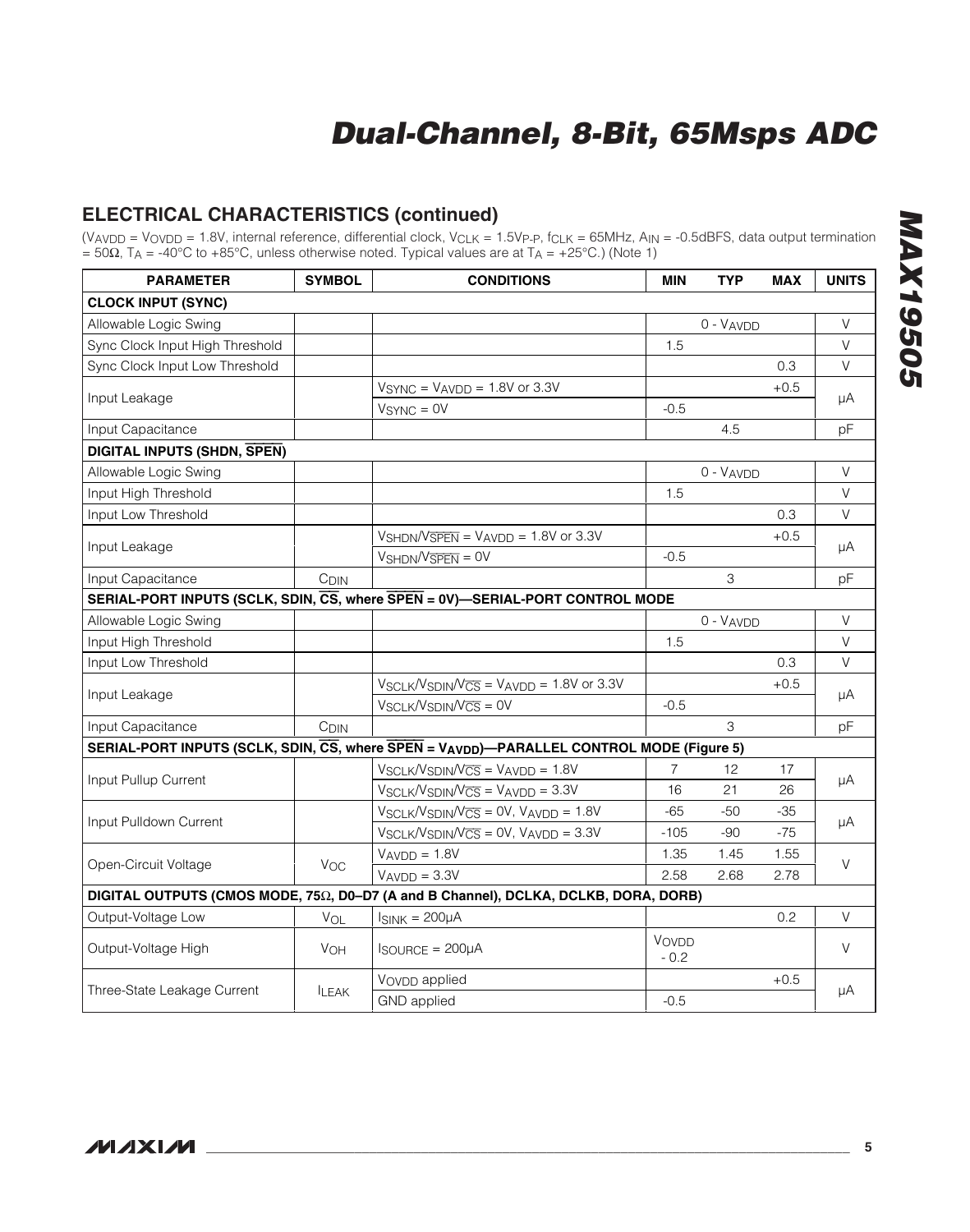## **ELECTRICAL CHARACTERISTICS (continued)**

| <b>PARAMETER</b>                   | <b>SYMBOL</b>    | <b>CONDITIONS</b>                                                                        | MIN             | <b>TYP</b>  | <b>MAX</b> | <b>UNITS</b> |
|------------------------------------|------------------|------------------------------------------------------------------------------------------|-----------------|-------------|------------|--------------|
| <b>CLOCK INPUT (SYNC)</b>          |                  |                                                                                          |                 |             |            |              |
| Allowable Logic Swing              |                  |                                                                                          |                 | 0 - VAVDD   |            | V            |
| Sync Clock Input High Threshold    |                  |                                                                                          | 1.5             |             |            | $\vee$       |
| Sync Clock Input Low Threshold     |                  |                                                                                          |                 |             | 0.3        | V            |
|                                    |                  | $VSYNC = VAVDD = 1.8V$ or 3.3V                                                           |                 |             | $+0.5$     |              |
| Input Leakage                      |                  | $VSYNC = 0V$                                                                             | $-0.5$          |             |            | μA           |
| Input Capacitance                  |                  |                                                                                          |                 | 4.5         |            | pF           |
| <b>DIGITAL INPUTS (SHDN, SPEN)</b> |                  |                                                                                          |                 |             |            |              |
| Allowable Logic Swing              |                  |                                                                                          |                 | $0 - VAVDD$ |            | V            |
| Input High Threshold               |                  |                                                                                          | 1.5             |             |            | $\vee$       |
| Input Low Threshold                |                  |                                                                                          |                 |             | 0.3        | V            |
|                                    |                  | $V_{\text{SHDN}}/V_{\overline{\text{SPEN}}} = V_{\text{AVDD}} = 1.8V$ or 3.3V            |                 |             | $+0.5$     |              |
| Input Leakage                      |                  | $VshDN/V\overline{SPEN} = 0V$                                                            | $-0.5$          |             |            | μA           |
| Input Capacitance                  | C <sub>DIN</sub> |                                                                                          |                 | 3           |            | pF           |
|                                    |                  | SERIAL-PORT INPUTS (SCLK, SDIN, CS, where SPEN = 0V)-SERIAL-PORT CONTROL MODE            |                 |             |            |              |
| Allowable Logic Swing              |                  |                                                                                          |                 | 0 - VAVDD   |            | V            |
| Input High Threshold               |                  |                                                                                          | 1.5             |             |            | V            |
| Input Low Threshold                |                  |                                                                                          |                 |             | 0.3        | $\vee$       |
|                                    |                  | $V_{SCLK}/V_{SDIN}/V_{\overline{CS}} = V_{AVDD} = 1.8V$ or 3.3V                          |                 |             | $+0.5$     |              |
| Input Leakage                      |                  | $V_{SCLK}/V_{SDIN}/V_{CS} = 0V$                                                          | $-0.5$          |             |            | μA           |
| Input Capacitance                  | C <sub>DIN</sub> |                                                                                          |                 | 3           |            | рF           |
|                                    |                  | SERIAL-PORT INPUTS (SCLK, SDIN, CS, where SPEN = VAVDD)-PARALLEL CONTROL MODE (Figure 5) |                 |             |            |              |
|                                    |                  | $V_{SCLK}/V_{SDIN}/V_{CS} = V_{AVDD} = 1.8V$                                             | $\overline{7}$  | 12          | 17         |              |
| Input Pullup Current               |                  | $V_{SCLK}/V_{SDIM}/V_{\overline{CS}} = V_{AVDD} = 3.3V$                                  | 16              | 21          | 26         | μA           |
|                                    |                  | $V_{SCLK}/V_{SDIM}/V_{\overline{CS}} = 0V$ , $V_{AVDD} = 1.8V$                           | $-65$           | $-50$       | $-35$      |              |
| Input Pulldown Current             |                  | $V_{SCLK}/V_{SDIM}/V_{\overline{CS}} = 0V$ , $V_{AVDD} = 3.3V$                           | $-105$          | -90         | $-75$      | μA           |
|                                    |                  | $VAVDD = 1.8V$                                                                           | 1.35            | 1.45        | 1.55       |              |
| Open-Circuit Voltage               | $V_{OC}$         | $VAVDD = 3.3V$                                                                           | 2.58            | 2.68        | 2.78       | V            |
|                                    |                  | DIGITAL OUTPUTS (CMOS MODE, 75Ω, D0-D7 (A and B Channel), DCLKA, DCLKB, DORA, DORB)      |                 |             |            |              |
| Output-Voltage Low                 | VOL              | $I_{SINK} = 200 \mu A$                                                                   |                 |             | 0.2        | V            |
| Output-Voltage High                | <b>VOH</b>       | $I_{\text{SOURCE}} = 200 \mu A$                                                          | VOVDD<br>$-0.2$ |             |            | V            |
|                                    |                  | VOVDD applied                                                                            |                 |             | $+0.5$     |              |
| Three-State Leakage Current        | <b>LEAK</b>      | <b>GND</b> applied                                                                       | $-0.5$          |             |            | μA           |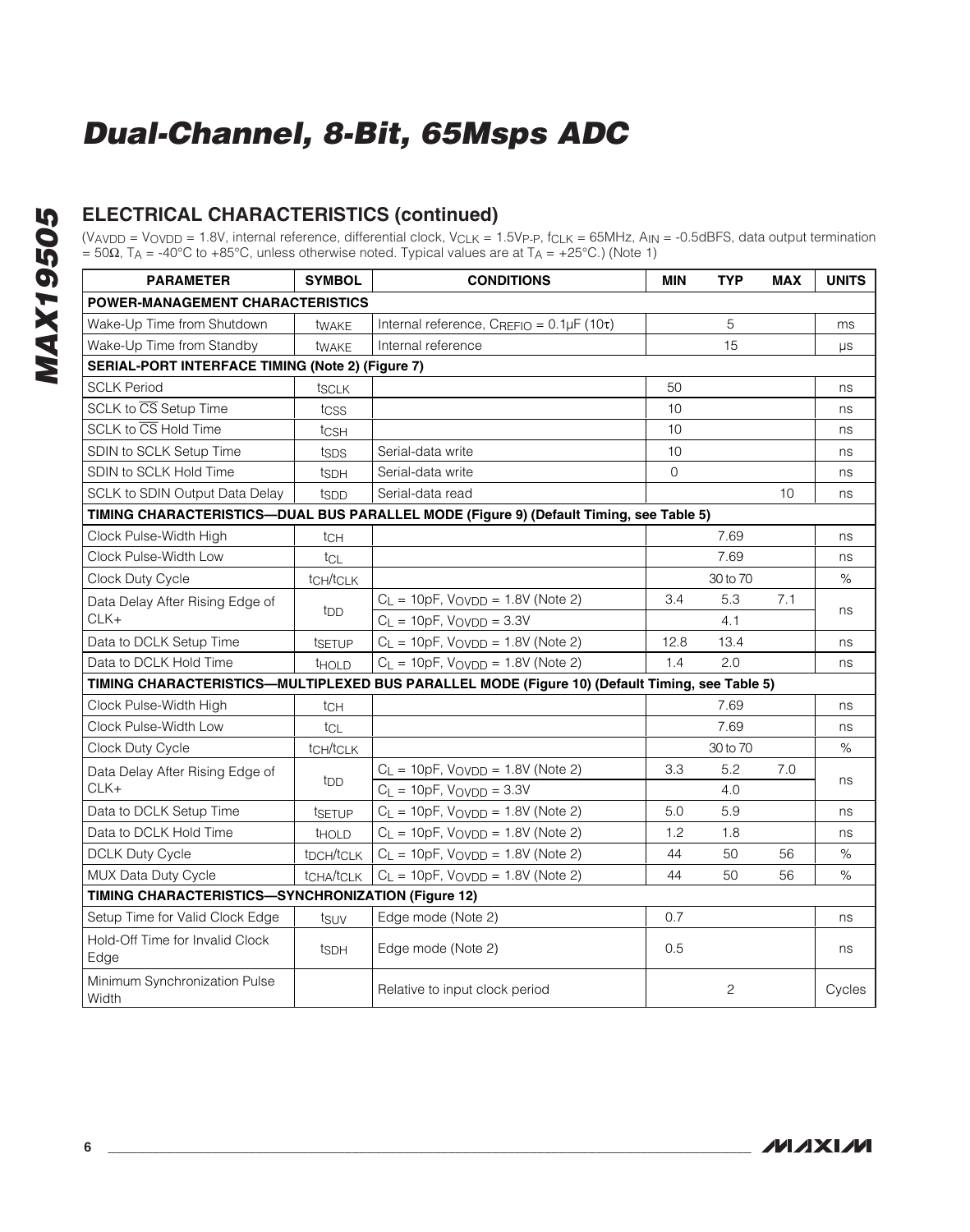## **ELECTRICAL CHARACTERISTICS (continued)**

| <b>PARAMETER</b>                                 | <b>SYMBOL</b>                                      | <b>CONDITIONS</b>                                                                              |          | <b>TYP</b>     | <b>MAX</b> | <b>UNITS</b> |  |
|--------------------------------------------------|----------------------------------------------------|------------------------------------------------------------------------------------------------|----------|----------------|------------|--------------|--|
| <b>POWER-MANAGEMENT CHARACTERISTICS</b>          |                                                    |                                                                                                |          |                |            |              |  |
| Wake-Up Time from Shutdown                       | twake                                              | Internal reference, $C_{REFIO} = 0.1 \mu F (10\tau)$                                           |          | 5              |            | ms           |  |
| Wake-Up Time from Standby                        | twakE                                              | Internal reference                                                                             |          | 15             |            | μs           |  |
| SERIAL-PORT INTERFACE TIMING (Note 2) (Figure 7) |                                                    |                                                                                                |          |                |            |              |  |
| <b>SCLK Period</b>                               | tsclk                                              |                                                                                                | 50       |                |            | ns           |  |
| SCLK to CS Setup Time                            | tcss                                               |                                                                                                | 10       |                |            | ns           |  |
| SCLK to $\overline{\text{CS}}$ Hold Time         | tcsh                                               |                                                                                                | 10       |                |            | ns           |  |
| <b>SDIN to SCLK Setup Time</b>                   | tsps                                               | Serial-data write                                                                              | 10       |                |            | ns           |  |
| SDIN to SCLK Hold Time                           | ts <sub>DH</sub>                                   | Serial-data write                                                                              | $\Omega$ |                |            | ns           |  |
| <b>SCLK to SDIN Output Data Delay</b>            | tspp                                               | Serial-data read                                                                               |          |                | 10         | ns           |  |
|                                                  |                                                    | TIMING CHARACTERISTICS-DUAL BUS PARALLEL MODE (Figure 9) (Default Timing, see Table 5)         |          |                |            |              |  |
| Clock Pulse-Width High                           | $t$ CH                                             |                                                                                                |          | 7.69           |            | ns           |  |
| Clock Pulse-Width Low                            | tcL                                                |                                                                                                |          | 7.69           |            | ns           |  |
| Clock Duty Cycle                                 | $t$ CH/ $t$ CLK                                    |                                                                                                |          | 30 to 70       |            | %            |  |
| Data Delay After Rising Edge of                  |                                                    | $C_L = 10pF$ , $V_{OVDD} = 1.8V$ (Note 2)                                                      | 3.4      | 5.3            | 7.1        |              |  |
| $CLK+$                                           | t <sub>DD</sub>                                    | $C_{L}$ = 10pF, $V_{\text{OVDD}}$ = 3.3V                                                       |          | 4.1            |            | ns           |  |
| Data to DCLK Setup Time                          | tsetup                                             | $C_L = 10pF$ , $V_{OVDD} = 1.8V$ (Note 2)                                                      | 12.8     | 13.4           |            | ns           |  |
| Data to DCLK Hold Time                           | <b>THOLD</b>                                       | $C_{L}$ = 10pF, $V_{\text{OVDD}}$ = 1.8V (Note 2)                                              | 1.4      | 2.0            |            | ns           |  |
|                                                  |                                                    | TIMING CHARACTERISTICS-MULTIPLEXED BUS PARALLEL MODE (Figure 10) (Default Timing, see Table 5) |          |                |            |              |  |
| Clock Pulse-Width High                           | tch                                                |                                                                                                |          | 7.69           |            | ns           |  |
| Clock Pulse-Width Low                            | tcL                                                |                                                                                                |          | 7.69           |            | ns           |  |
| Clock Duty Cycle                                 | tCH/tCLK                                           |                                                                                                |          | 30 to 70       |            | $\%$         |  |
| Data Delay After Rising Edge of                  |                                                    | $C_L = 10pF$ , $V_{OVDD} = 1.8V$ (Note 2)                                                      | 3.3      | 5.2            | 7.0        |              |  |
| $CLK+$                                           | t <sub>DD</sub>                                    | $C_L = 10pF$ , $V_VD_D = 3.3V$                                                                 |          | 4.0            |            | ns           |  |
| Data to DCLK Setup Time                          | tsetup                                             | $C_L$ = 10pF, $V_{\text{OVDD}}$ = 1.8V (Note 2)                                                | 5.0      | 5.9            |            | ns           |  |
| Data to DCLK Hold Time                           | <b>THOLD</b>                                       | $C_L = 10pF$ , $V_VD_D = 1.8V$ (Note 2)                                                        | 1.2      | 1.8            |            | ns           |  |
| <b>DCLK Duty Cycle</b>                           | t <sub>DCH/tCLK</sub>                              | $C_L = 10pF$ , $V_VD = 1.8V$ (Note 2)                                                          | 44       | 50             | 56         | %            |  |
| MUX Data Duty Cycle                              | tCHA/tCLK                                          | $C_L = 10pF$ , $V_{OVDD} = 1.8V$ (Note 2)                                                      | 44       | 50             | 56         | $\%$         |  |
|                                                  | TIMING CHARACTERISTICS-SYNCHRONIZATION (Figure 12) |                                                                                                |          |                |            |              |  |
| Setup Time for Valid Clock Edge                  | tsuv                                               | Edge mode (Note 2)                                                                             | 0.7      |                |            | ns           |  |
| Hold-Off Time for Invalid Clock<br>Edge          | ts <sub>DH</sub>                                   | Edge mode (Note 2)                                                                             | 0.5      |                |            | ns           |  |
| Minimum Synchronization Pulse<br>Width           |                                                    | Relative to input clock period                                                                 |          | $\overline{c}$ |            | Cycles       |  |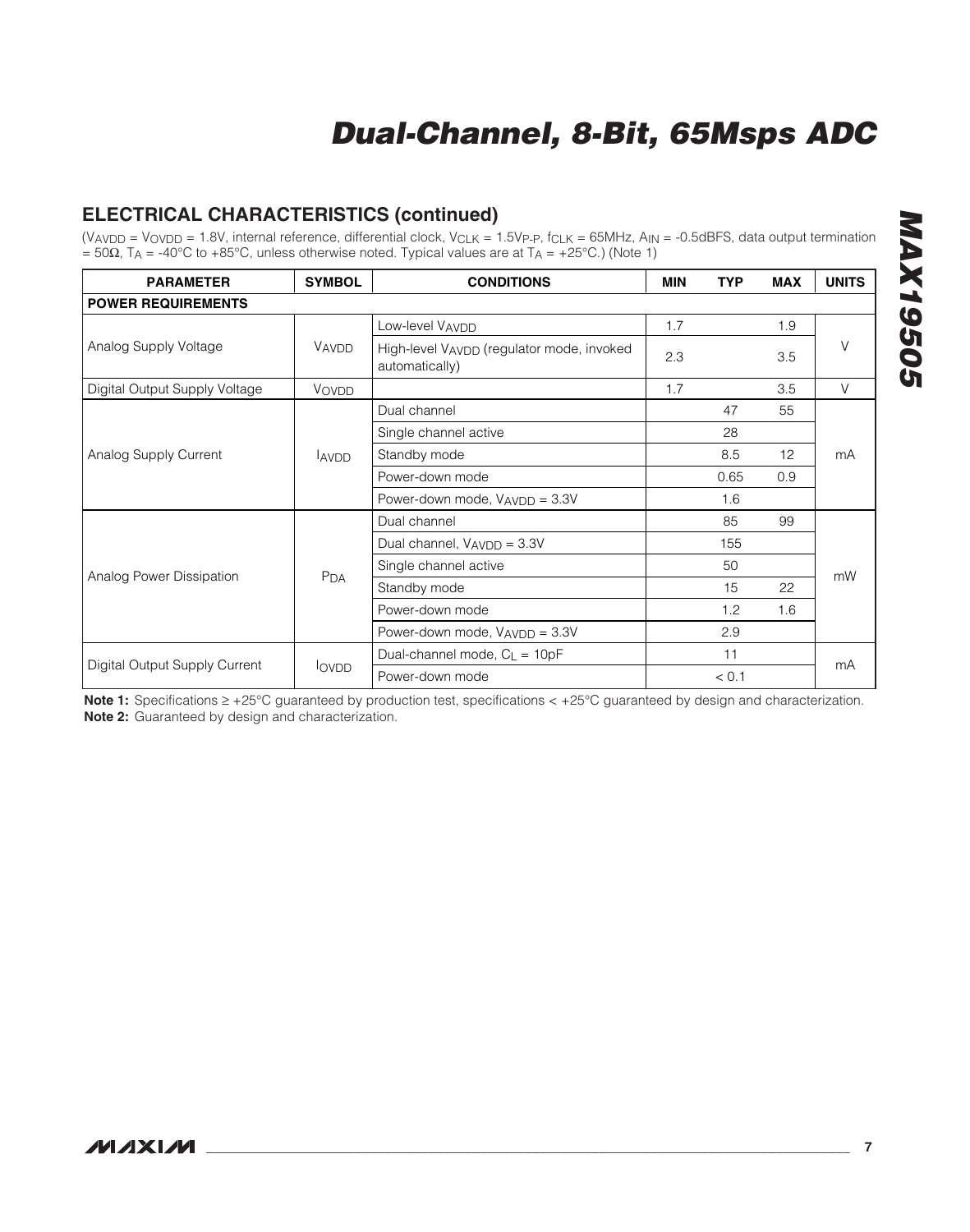## **ELECTRICAL CHARACTERISTICS (continued)**

(V<sub>AVDD</sub> = V<sub>OVDD</sub> = 1.8V, internal reference, differential clock, V<sub>CLK</sub> = 1.5V<sub>P-P</sub>, f<sub>CLK</sub> = 65MHz, A<sub>IN</sub> = -0.5dBFS, data output termination  $= 50\Omega$ , T<sub>A</sub> = -40°C to +85°C, unless otherwise noted. Typical values are at T<sub>A</sub> = +25°C.) (Note 1)

| <b>PARAMETER</b>              | <b>SYMBOL</b>   | <b>CONDITIONS</b>                                           |     | <b>TYP</b> | <b>MAX</b> | <b>UNITS</b> |  |  |
|-------------------------------|-----------------|-------------------------------------------------------------|-----|------------|------------|--------------|--|--|
| <b>POWER REQUIREMENTS</b>     |                 |                                                             |     |            |            |              |  |  |
|                               |                 | Low-level VAVDD                                             | 1.7 |            | 1.9        |              |  |  |
| Analog Supply Voltage         | VAVDD           | High-level VAVDD (regulator mode, invoked<br>automatically) | 2.3 |            | 3.5        | V            |  |  |
| Digital Output Supply Voltage | VOVDD           |                                                             | 1.7 |            | 3.5        | V            |  |  |
|                               |                 | Dual channel                                                |     | 47         | 55         |              |  |  |
|                               |                 | Single channel active                                       |     | 28         |            | mA           |  |  |
| Analog Supply Current         | <b>AVDD</b>     | Standby mode                                                |     | 8.5        | 12         |              |  |  |
|                               |                 | Power-down mode                                             |     | 0.65       | 0.9        |              |  |  |
|                               |                 | Power-down mode, $V_{AVDD} = 3.3V$                          |     | 1.6        |            |              |  |  |
|                               |                 | Dual channel                                                |     | 85         | 99         |              |  |  |
|                               |                 | Dual channel, V <sub>AVDD</sub> = 3.3V                      |     | 155        |            |              |  |  |
|                               |                 | Single channel active                                       |     | 50         |            |              |  |  |
| Analog Power Dissipation      | P <sub>DA</sub> | Standby mode                                                |     | 15         | 22         | mW           |  |  |
|                               |                 | Power-down mode                                             |     | 1.2        | 1.6        |              |  |  |
|                               |                 | Power-down mode, VAVDD = 3.3V                               |     | 2.9        |            |              |  |  |
|                               |                 | Dual-channel mode, $C_L = 10pF$                             |     | 11         |            |              |  |  |
| Digital Output Supply Current | <b>lovpp</b>    | Power-down mode                                             |     | < 0.1      |            | mA           |  |  |

**Note 1:** Specifications ≥ +25°C guaranteed by production test, specifications < +25°C guaranteed by design and characterization. **Note 2:** Guaranteed by design and characterization.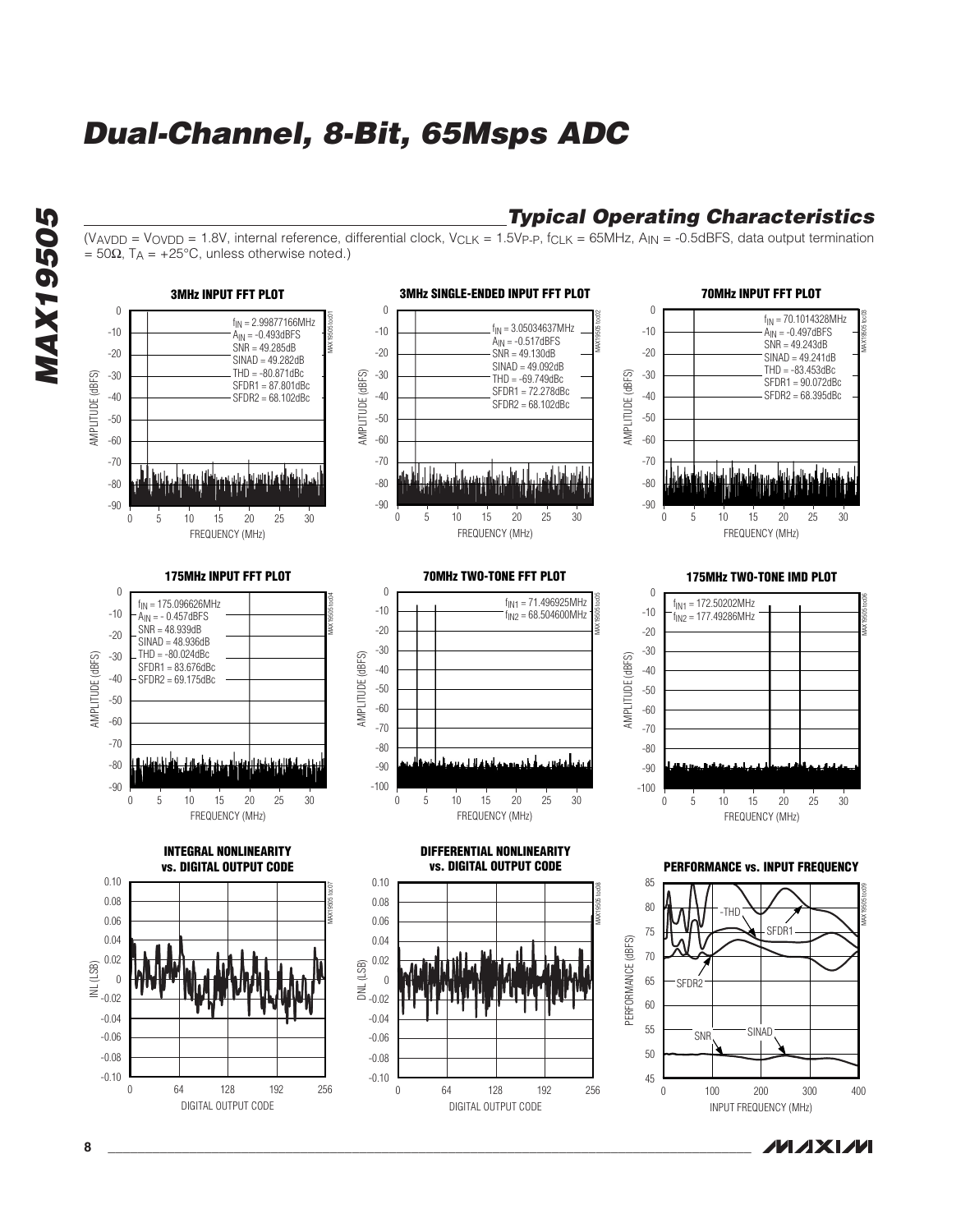$= 50\Omega$ , T<sub>A</sub> = +25°C, unless otherwise noted.)



(VAVDD = VOVDD = 1.8V, internal reference, differential clock, VCLK = 1.5VP-P, fCLK = 65MHz, AIN = -0.5dBFS, data output termination

## **MAXM**

**Typical Operating Characteristics**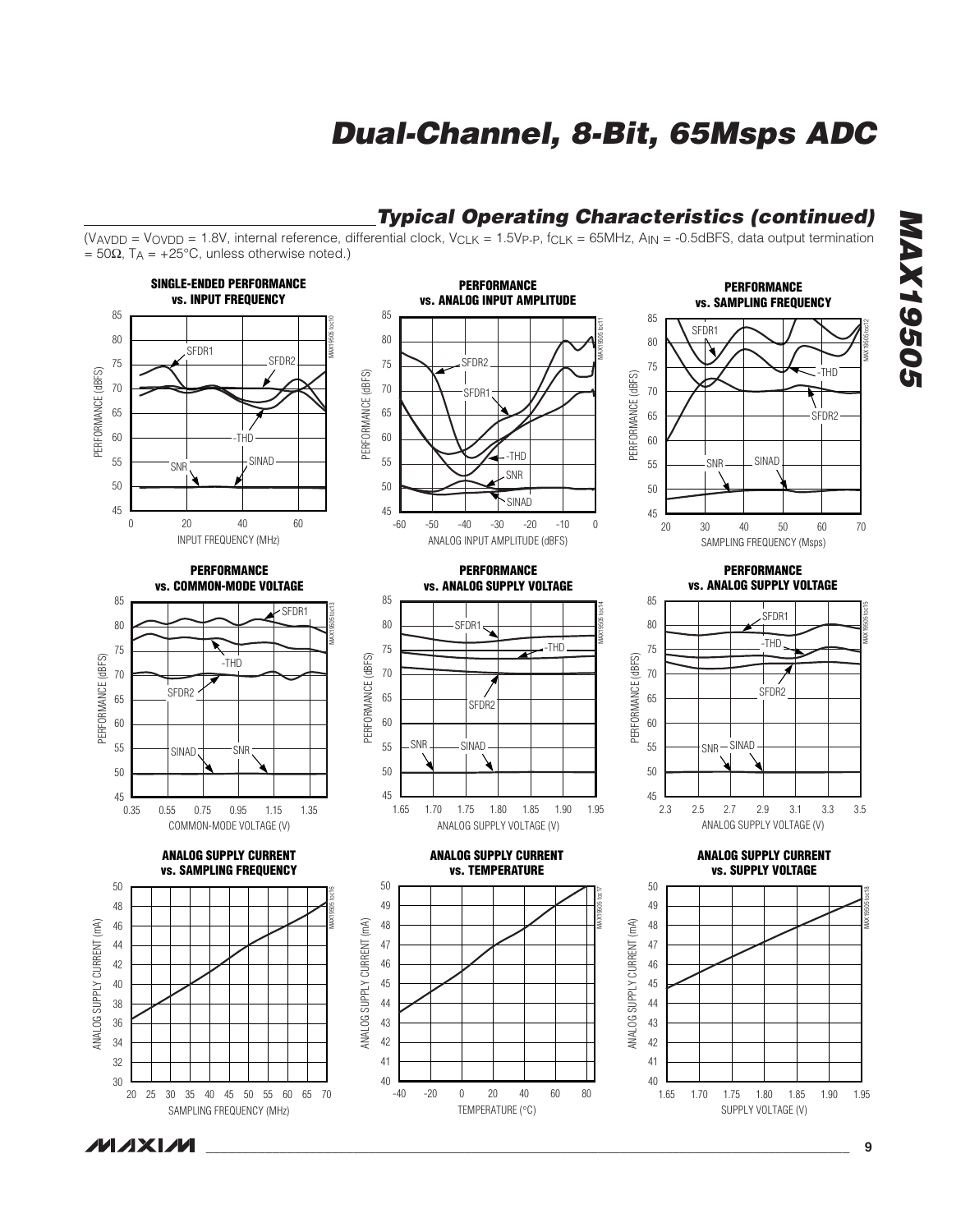

**MAXM** 

**MAX19505**

**MAX19505**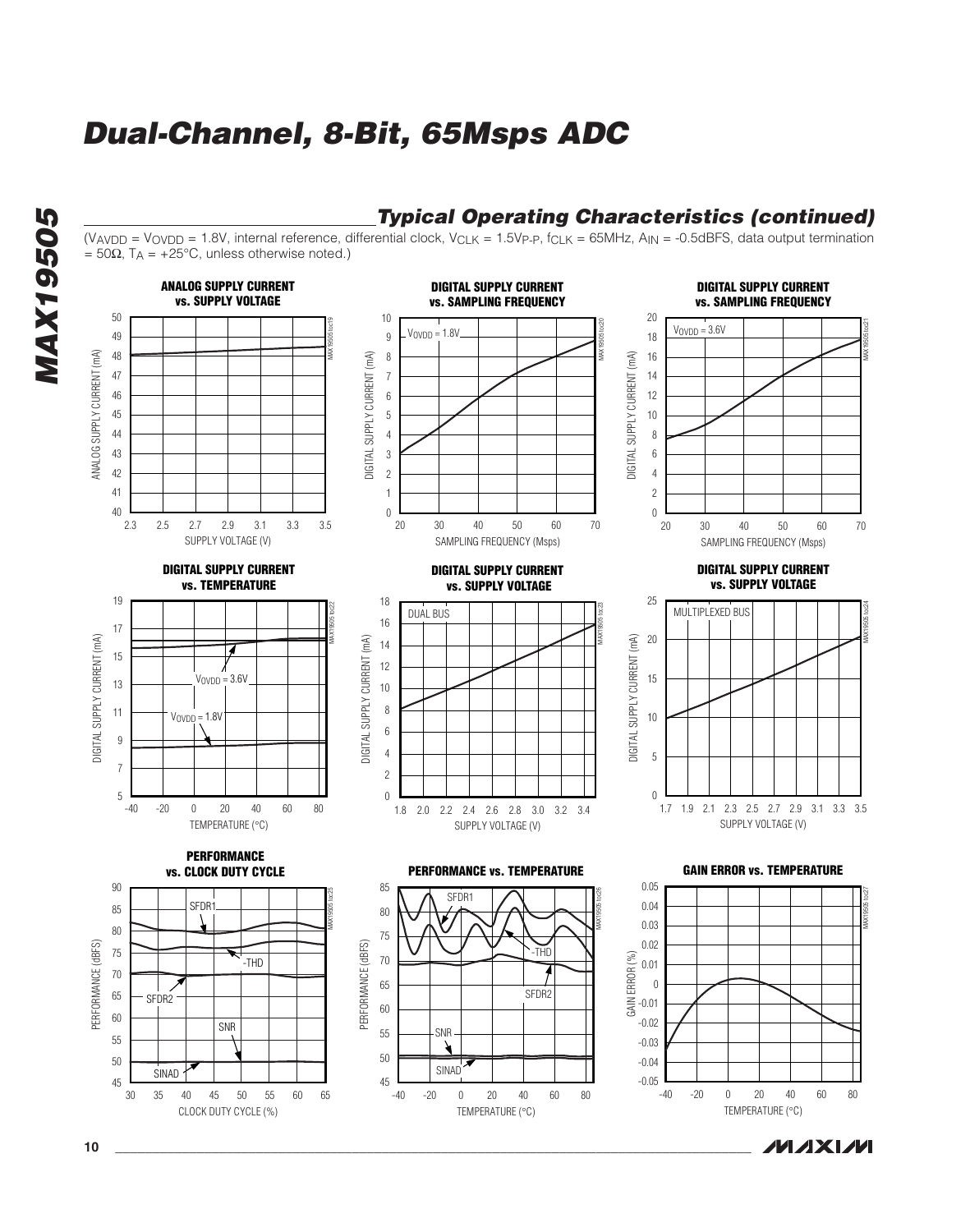

**10 \_\_\_\_\_\_\_\_\_\_\_\_\_\_\_\_\_\_\_\_\_\_\_\_\_\_\_\_\_\_\_\_\_\_\_\_\_\_\_\_\_\_\_\_\_\_\_\_\_\_\_\_\_\_\_\_\_\_\_\_\_\_\_\_\_\_\_\_\_\_\_\_\_\_\_\_\_\_\_\_\_\_\_\_\_\_**

**MAX19505**

**MAX19505**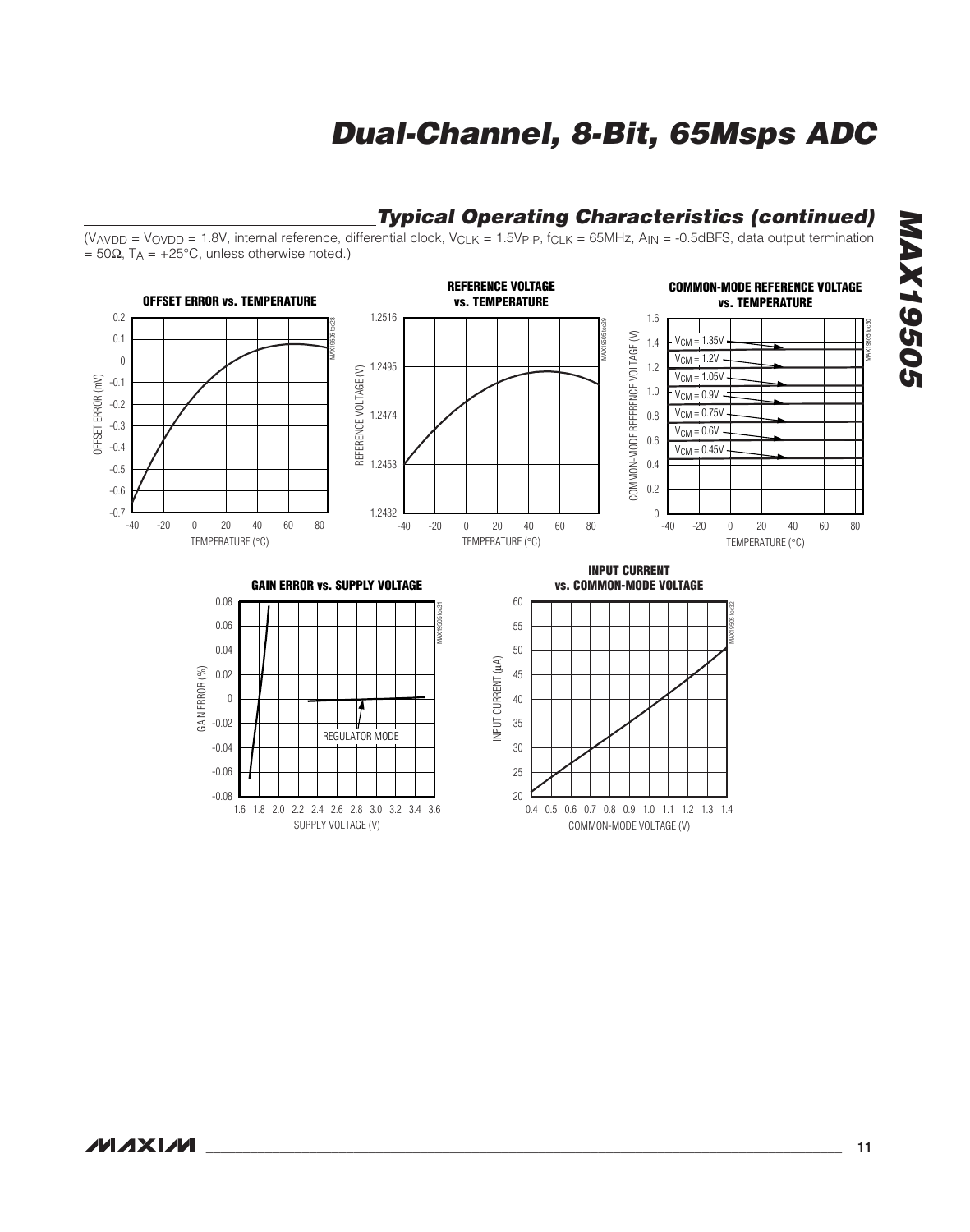COMMON-MODE VOLTAGE (V)



SUPPLY VOLTAGE (V)

**MAX19505 MAX19505**

**MAXIM** 

#### **\_\_\_\_\_\_\_\_\_\_\_\_\_\_\_\_\_\_\_\_\_\_\_\_\_\_\_\_\_\_\_\_\_\_\_\_\_\_\_\_\_\_\_\_\_\_\_\_\_\_\_\_\_\_\_\_\_\_\_\_\_\_\_\_\_\_\_\_\_\_\_\_\_\_\_\_\_\_\_\_\_\_\_\_\_\_ 11**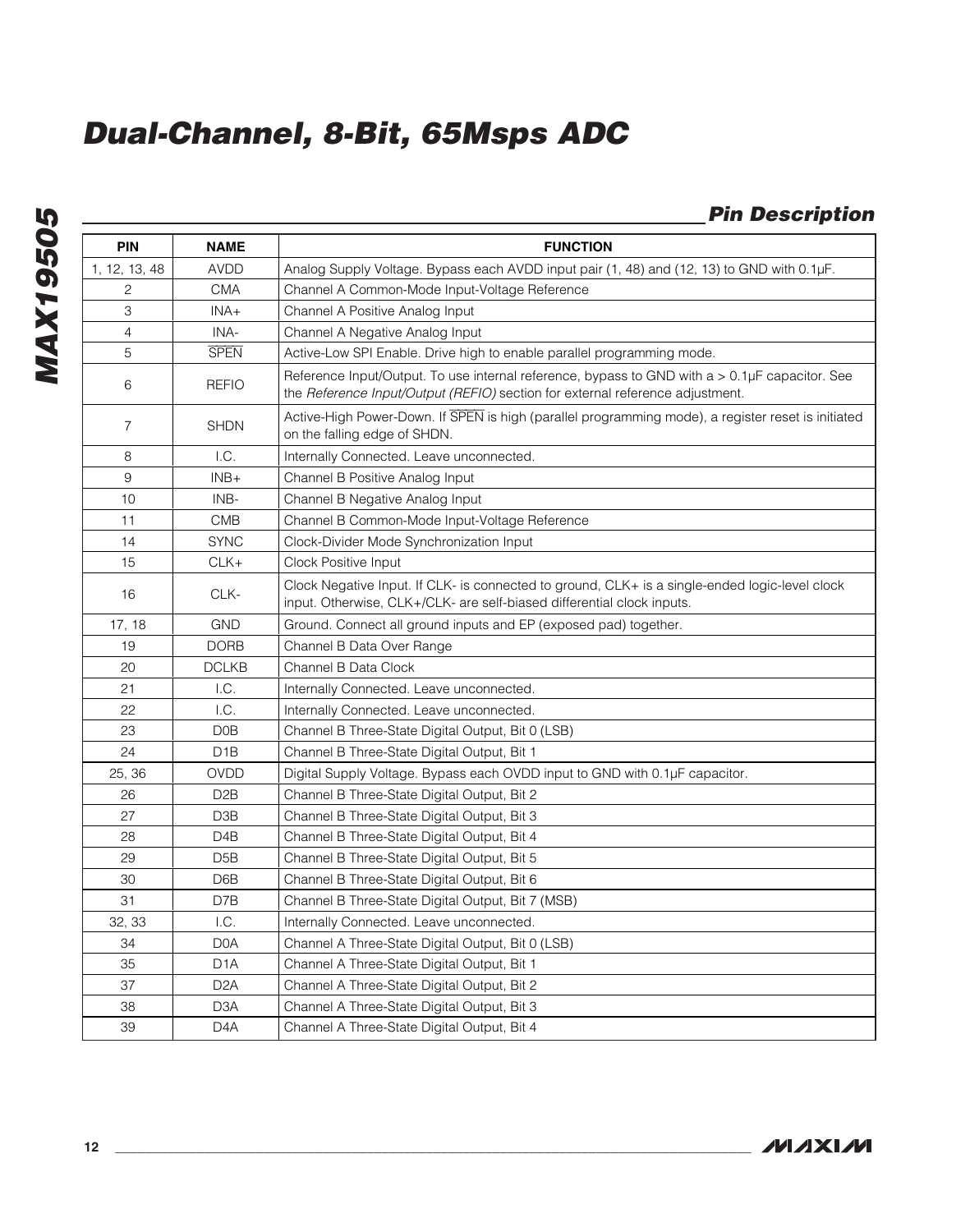| <b>Pin Description</b> |  |  |
|------------------------|--|--|
|                        |  |  |

|                |                  | <b>Pin Description</b>                                                                                                                                                          |
|----------------|------------------|---------------------------------------------------------------------------------------------------------------------------------------------------------------------------------|
| <b>PIN</b>     | <b>NAME</b>      | <b>FUNCTION</b>                                                                                                                                                                 |
| 1, 12, 13, 48  | <b>AVDD</b>      | Analog Supply Voltage. Bypass each AVDD input pair (1, 48) and (12, 13) to GND with 0.1µF.                                                                                      |
| 2              | <b>CMA</b>       | Channel A Common-Mode Input-Voltage Reference                                                                                                                                   |
| 3              | $INA+$           | Channel A Positive Analog Input                                                                                                                                                 |
| 4              | INA-             | Channel A Negative Analog Input                                                                                                                                                 |
| 5              | <b>SPEN</b>      | Active-Low SPI Enable. Drive high to enable parallel programming mode.                                                                                                          |
| 6              | <b>REFIO</b>     | Reference Input/Output. To use internal reference, bypass to GND with a > 0.1µF capacitor. See<br>the Reference Input/Output (REFIO) section for external reference adjustment. |
| $\overline{7}$ | <b>SHDN</b>      | Active-High Power-Down. If SPEN is high (parallel programming mode), a register reset is initiated<br>on the falling edge of SHDN.                                              |
| 8              | 1.C.             | Internally Connected. Leave unconnected.                                                                                                                                        |
| 9              | $INB+$           | Channel B Positive Analog Input                                                                                                                                                 |
| 10             | INB-             | Channel B Negative Analog Input                                                                                                                                                 |
| 11             | <b>CMB</b>       | Channel B Common-Mode Input-Voltage Reference                                                                                                                                   |
| 14             | <b>SYNC</b>      | Clock-Divider Mode Synchronization Input                                                                                                                                        |
| 15             | $CLK+$           | Clock Positive Input                                                                                                                                                            |
| 16             | CLK-             | Clock Negative Input. If CLK- is connected to ground, CLK+ is a single-ended logic-level clock<br>input. Otherwise, CLK+/CLK- are self-biased differential clock inputs.        |
| 17, 18         | <b>GND</b>       | Ground. Connect all ground inputs and EP (exposed pad) together.                                                                                                                |
| 19             | <b>DORB</b>      | Channel B Data Over Range                                                                                                                                                       |
| 20             | <b>DCLKB</b>     | Channel B Data Clock                                                                                                                                                            |
| 21             | 1.C.             | Internally Connected. Leave unconnected.                                                                                                                                        |
| 22             | L.C.             | Internally Connected. Leave unconnected.                                                                                                                                        |
| 23             | D <sub>0</sub> B | Channel B Three-State Digital Output, Bit 0 (LSB)                                                                                                                               |
| 24             | D <sub>1</sub> B | Channel B Three-State Digital Output, Bit 1                                                                                                                                     |
| 25, 36         | OVDD             | Digital Supply Voltage. Bypass each OVDD input to GND with 0.1µF capacitor.                                                                                                     |
| 26             | D <sub>2</sub> B | Channel B Three-State Digital Output, Bit 2                                                                                                                                     |
| 27             | D3B              | Channel B Three-State Digital Output, Bit 3                                                                                                                                     |
| 28             | D <sub>4</sub> B | Channel B Three-State Digital Output, Bit 4                                                                                                                                     |
| 29             | D5B              | Channel B Three-State Digital Output, Bit 5                                                                                                                                     |
| 30             | D6B              | Channel B Three-State Digital Output, Bit 6                                                                                                                                     |
| 31             | D7B              | Channel B Three-State Digital Output, Bit 7 (MSB)                                                                                                                               |
| 32, 33         | I.C.             | Internally Connected. Leave unconnected.                                                                                                                                        |
| 34             | D <sub>0</sub> A | Channel A Three-State Digital Output, Bit 0 (LSB)                                                                                                                               |
| 35             | D <sub>1</sub> A | Channel A Three-State Digital Output, Bit 1                                                                                                                                     |
| 37             | D <sub>2</sub> A | Channel A Three-State Digital Output, Bit 2                                                                                                                                     |
| 38             | D3A              | Channel A Three-State Digital Output, Bit 3                                                                                                                                     |
| 39             | D4A              | Channel A Three-State Digital Output, Bit 4                                                                                                                                     |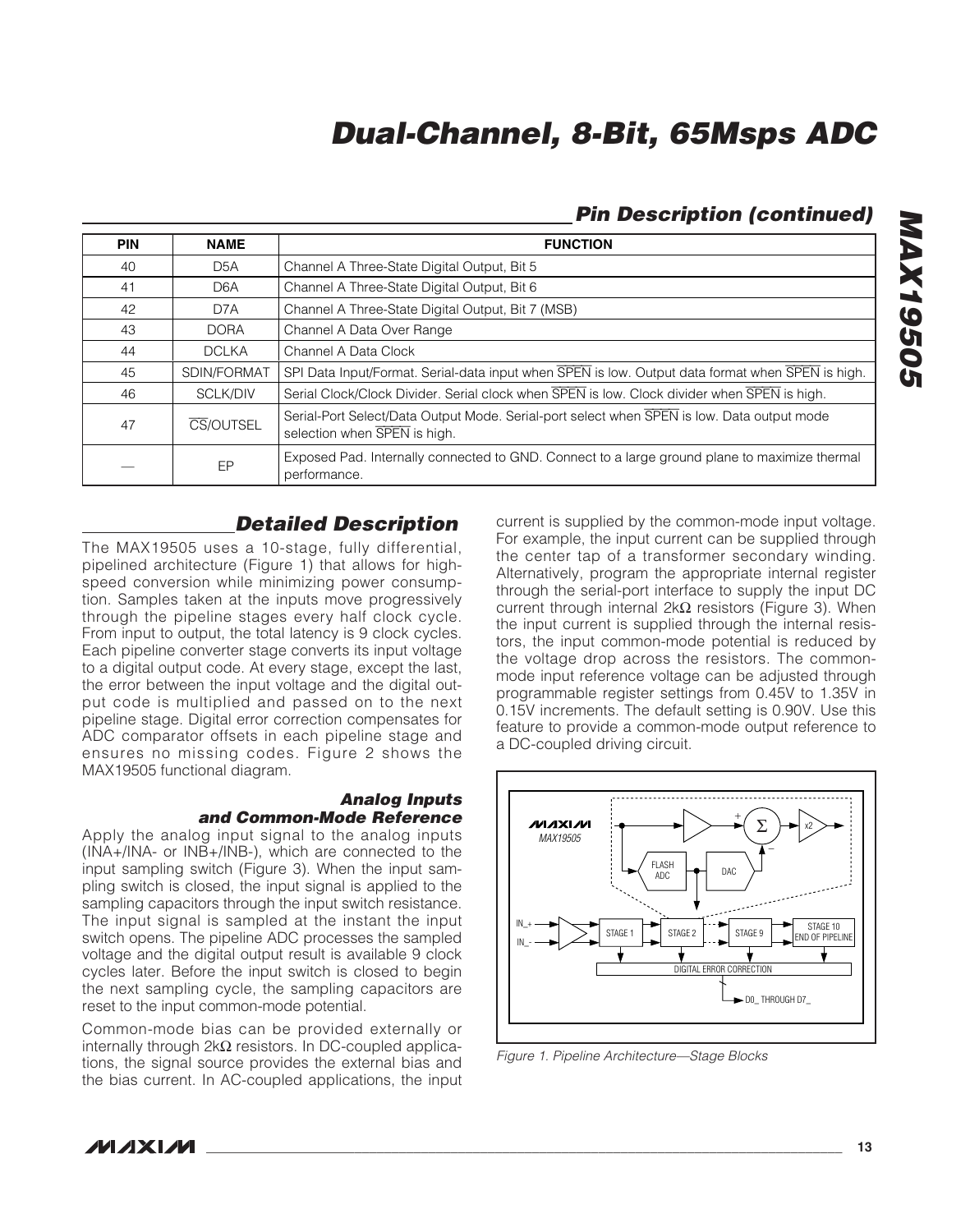### **Pin Description (continued)**

| <b>PIN</b> | <b>NAME</b>      | <b>FUNCTION</b>                                                                                                            |
|------------|------------------|----------------------------------------------------------------------------------------------------------------------------|
| 40         | D <sub>5</sub> A | Channel A Three-State Digital Output, Bit 5                                                                                |
| 41         | D <sub>6</sub> A | Channel A Three-State Digital Output, Bit 6                                                                                |
| 42         | D7A              | Channel A Three-State Digital Output, Bit 7 (MSB)                                                                          |
| 43         | <b>DORA</b>      | Channel A Data Over Range                                                                                                  |
| 44         | <b>DCLKA</b>     | Channel A Data Clock                                                                                                       |
| 45         | SDIN/FORMAT      | SPI Data Input/Format. Serial-data input when SPEN is low. Output data format when SPEN is high.                           |
| 46         | <b>SCLK/DIV</b>  | Serial Clock/Clock Divider. Serial clock when <b>SPEN</b> is low. Clock divider when <b>SPEN</b> is high.                  |
| 47         | CS/OUTSEL        | Serial-Port Select/Data Output Mode. Serial-port select when SPEN is low. Data output mode<br>selection when SPEN is high. |
|            | EP               | Exposed Pad. Internally connected to GND. Connect to a large ground plane to maximize thermal<br>performance.              |

### **Detailed Description**

The MAX19505 uses a 10-stage, fully differential, pipelined architecture (Figure 1) that allows for highspeed conversion while minimizing power consumption. Samples taken at the inputs move progressively through the pipeline stages every half clock cycle. From input to output, the total latency is 9 clock cycles. Each pipeline converter stage converts its input voltage to a digital output code. At every stage, except the last, the error between the input voltage and the digital output code is multiplied and passed on to the next pipeline stage. Digital error correction compensates for ADC comparator offsets in each pipeline stage and ensures no missing codes. Figure 2 shows the MAX19505 functional diagram.

#### **Analog Inputs and Common-Mode Reference**

Apply the analog input signal to the analog inputs (INA+/INA- or INB+/INB-), which are connected to the input sampling switch (Figure 3). When the input sampling switch is closed, the input signal is applied to the sampling capacitors through the input switch resistance. The input signal is sampled at the instant the input switch opens. The pipeline ADC processes the sampled voltage and the digital output result is available 9 clock cycles later. Before the input switch is closed to begin the next sampling cycle, the sampling capacitors are reset to the input common-mode potential.

Common-mode bias can be provided externally or internally through 2kΩ resistors. In DC-coupled applications, the signal source provides the external bias and the bias current. In AC-coupled applications, the input current is supplied by the common-mode input voltage. For example, the input current can be supplied through the center tap of a transformer secondary winding. Alternatively, program the appropriate internal register through the serial-port interface to supply the input DC current through internal 2kΩ resistors (Figure 3). When the input current is supplied through the internal resistors, the input common-mode potential is reduced by the voltage drop across the resistors. The commonmode input reference voltage can be adjusted through programmable register settings from 0.45V to 1.35V in 0.15V increments. The default setting is 0.90V. Use this feature to provide a common-mode output reference to a DC-coupled driving circuit.



Figure 1. Pipeline Architecture—Stage Blocks

**MAX19505 MAX19505**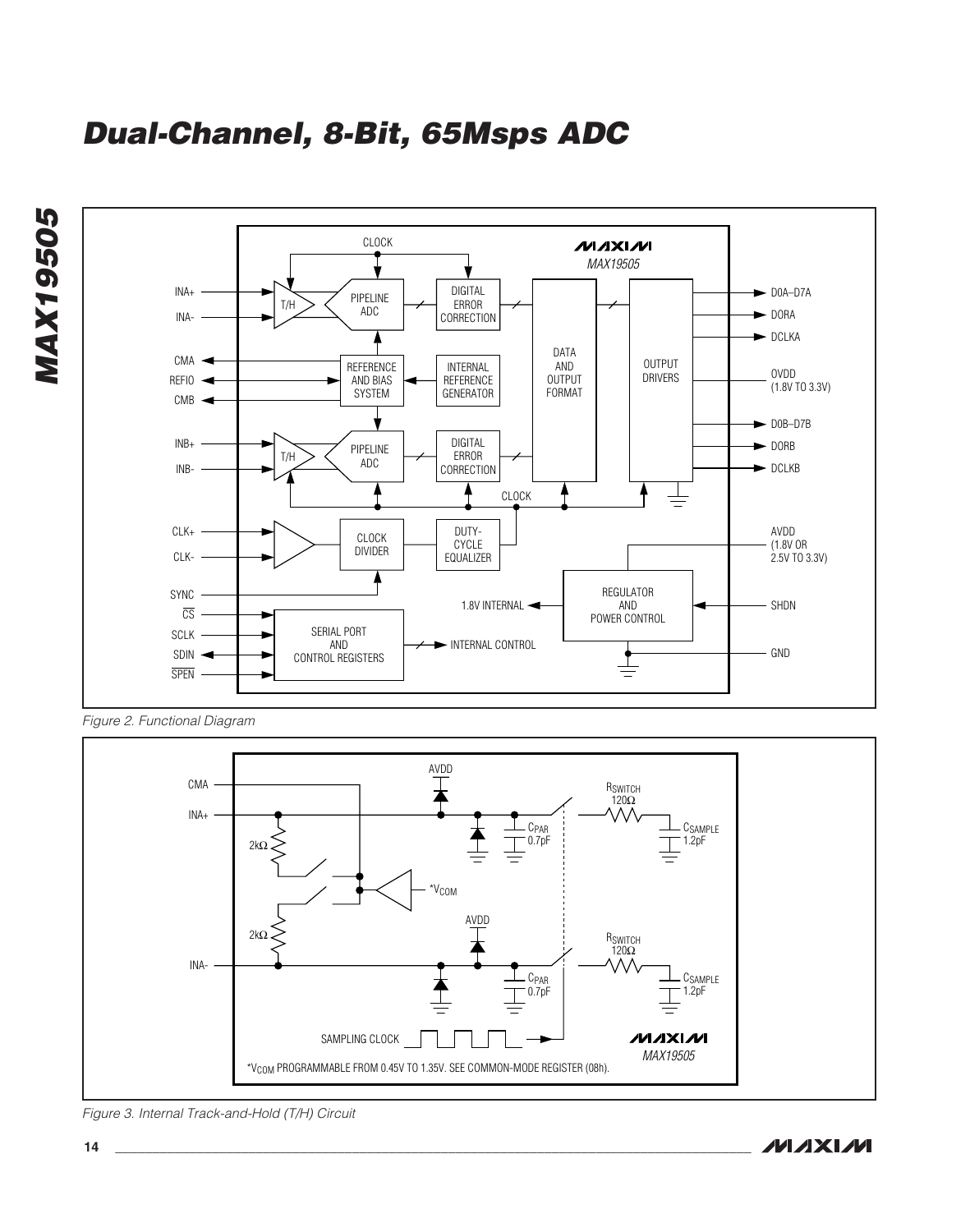**Dual-Channel, 8-Bit, 65Msps ADC**





Figure 2. Functional Diagram



Figure 3. Internal Track-and-Hold (T/H) Circuit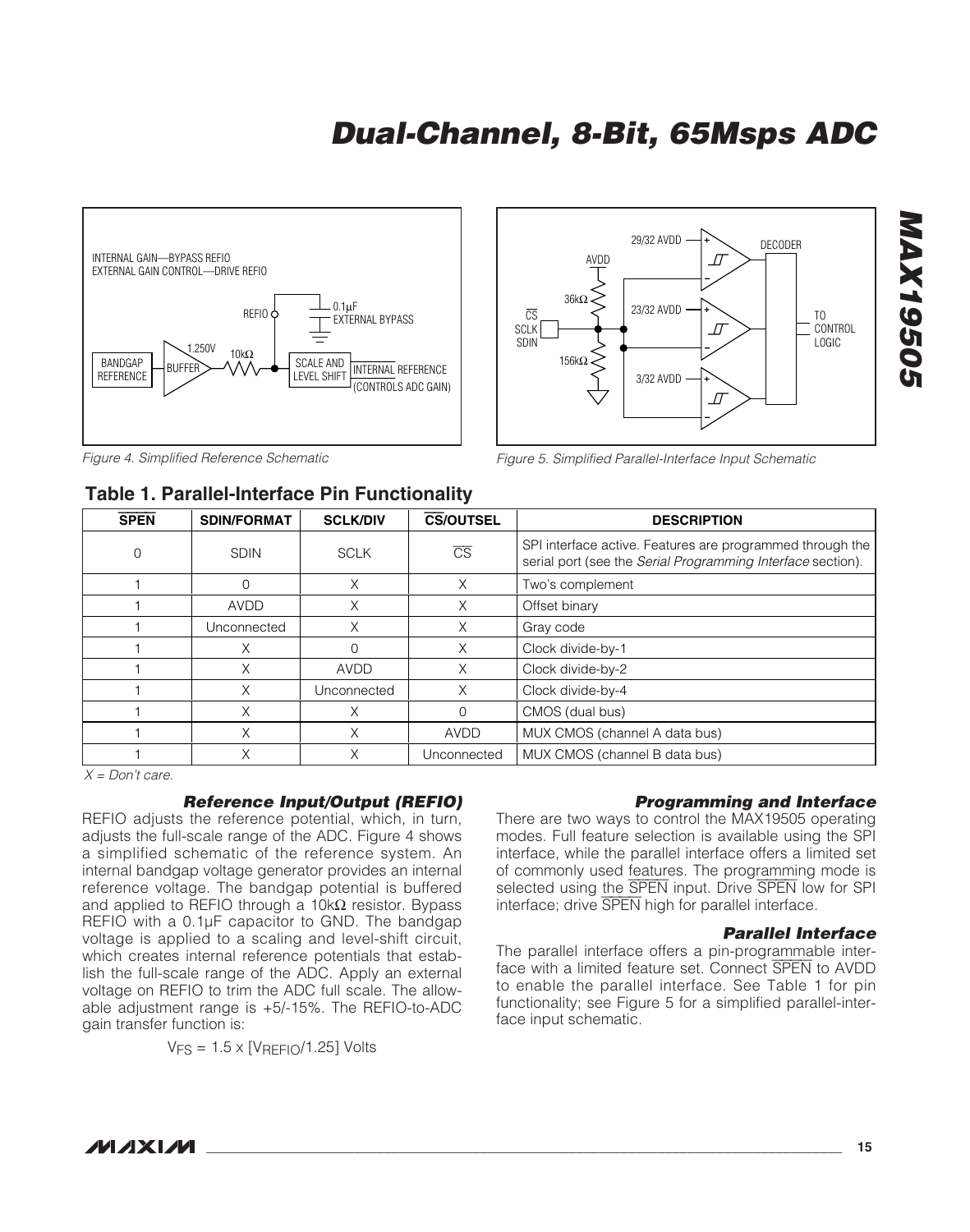

Figure 4. Simplified Reference Schematic

### **Table 1. Parallel-Interface Pin Functionality**



Figure 5. Simplified Parallel-Interface Input Schematic

|             | $1$ avic $1$ . Faralici-litici lays Fill I universitative |                 |                        |                                                                                                                          |  |  |  |  |  |  |
|-------------|-----------------------------------------------------------|-----------------|------------------------|--------------------------------------------------------------------------------------------------------------------------|--|--|--|--|--|--|
| <b>SPEN</b> | <b>SDIN/FORMAT</b>                                        | <b>SCLK/DIV</b> | <b>CS/OUTSEL</b>       | <b>DESCRIPTION</b>                                                                                                       |  |  |  |  |  |  |
| 0           | <b>SDIN</b>                                               | <b>SCLK</b>     | $\overline{\text{CS}}$ | SPI interface active. Features are programmed through the<br>serial port (see the Serial Programming Interface section). |  |  |  |  |  |  |
|             |                                                           | Χ               | X                      | Two's complement                                                                                                         |  |  |  |  |  |  |
|             | <b>AVDD</b>                                               | Χ               | Χ                      | Offset binary                                                                                                            |  |  |  |  |  |  |
|             | Unconnected                                               | Χ               | X                      | Gray code                                                                                                                |  |  |  |  |  |  |
|             | Χ                                                         |                 | X                      | Clock divide-by-1                                                                                                        |  |  |  |  |  |  |
|             | Χ                                                         | <b>AVDD</b>     | X                      | Clock divide-by-2                                                                                                        |  |  |  |  |  |  |
|             | Χ                                                         | Unconnected     | X                      | Clock divide-by-4                                                                                                        |  |  |  |  |  |  |
|             | Χ                                                         | Х               |                        | CMOS (dual bus)                                                                                                          |  |  |  |  |  |  |
|             | Χ                                                         | Χ               | <b>AVDD</b>            | MUX CMOS (channel A data bus)                                                                                            |  |  |  |  |  |  |
|             | Χ                                                         | Χ               | Unconnected            | MUX CMOS (channel B data bus)                                                                                            |  |  |  |  |  |  |

 $X = Don't care.$ 

### **Reference Input/Output (REFIO)**

REFIO adjusts the reference potential, which, in turn, adjusts the full-scale range of the ADC. Figure 4 shows a simplified schematic of the reference system. An internal bandgap voltage generator provides an internal reference voltage. The bandgap potential is buffered and applied to REFIO through a 10kΩ resistor. Bypass REFIO with a 0.1µF capacitor to GND. The bandgap voltage is applied to a scaling and level-shift circuit, which creates internal reference potentials that establish the full-scale range of the ADC. Apply an external voltage on REFIO to trim the ADC full scale. The allowable adjustment range is +5/-15%. The REFIO-to-ADC gain transfer function is:

 $VFS = 1.5 \times [VREFIO/1.25]$  Volts

#### **Programming and Interface**

There are two ways to control the MAX19505 operating modes. Full feature selection is available using the SPI interface, while the parallel interface offers a limited set of commonly used features. The programming mode is selected using the SPEN input. Drive SPEN low for SPI interface; drive SPEN high for parallel interface.

#### **Parallel Interface**

The parallel interface offers a pin-programmable interface with a limited feature set. Connect SPEN to AVDD to enable the parallel interface. See Table 1 for pin functionality; see Figure 5 for a simplified parallel-interface input schematic.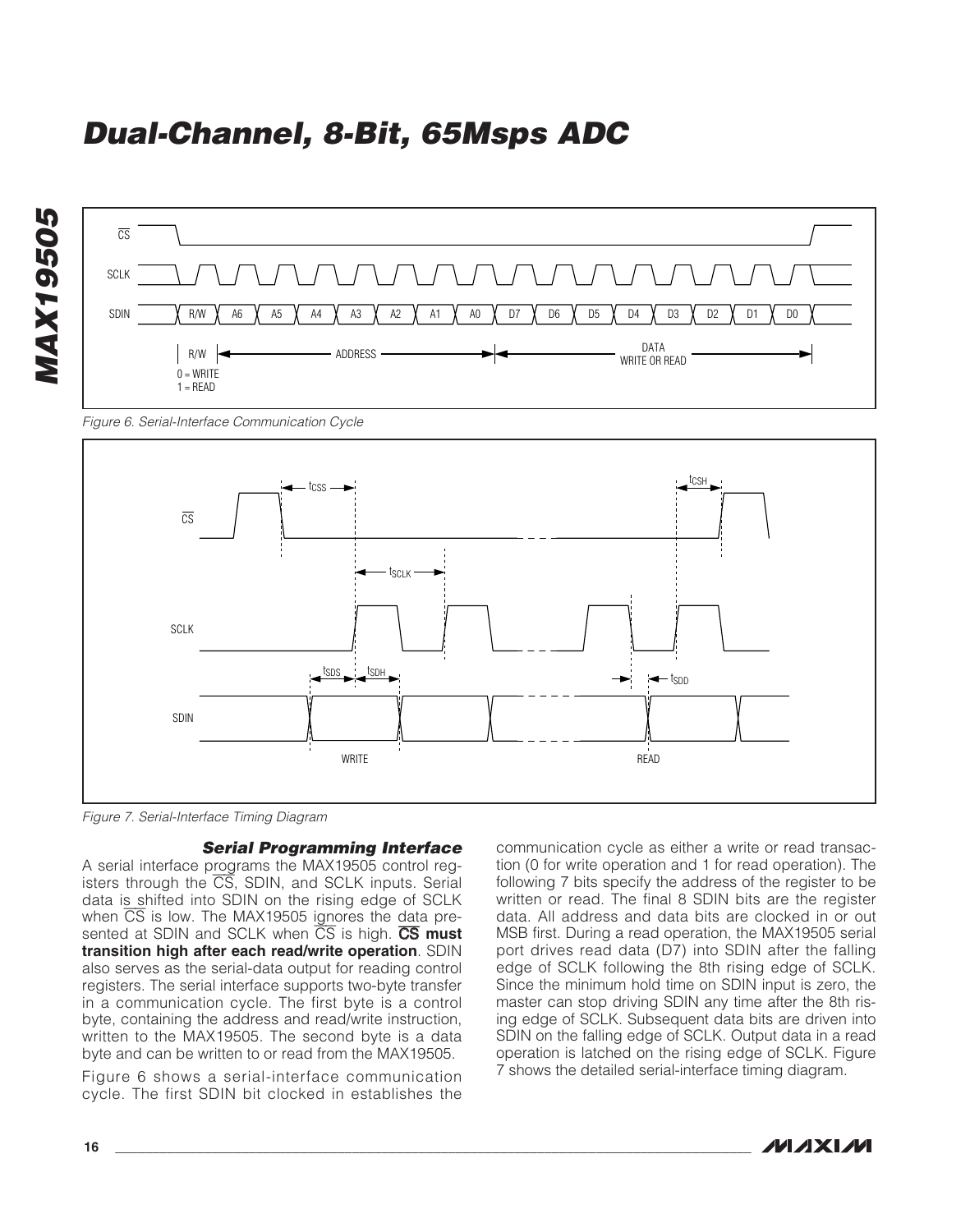

Figure 6. Serial-Interface Communication Cycle



Figure 7. Serial-Interface Timing Diagram

**Serial Programming Interface**

A serial interface programs the MAX19505 control registers through the  $\overline{CS}$ , SDIN, and SCLK inputs. Serial data is shifted into SDIN on the rising edge of SCLK when  $\overline{CS}$  is low. The MAX19505 ignores the data presented at SDIN and SCLK when  $\overline{CS}$  is high. CS must **transition high after each read/write operation**. SDIN also serves as the serial-data output for reading control registers. The serial interface supports two-byte transfer in a communication cycle. The first byte is a control byte, containing the address and read/write instruction, written to the MAX19505. The second byte is a data byte and can be written to or read from the MAX19505.

Figure 6 shows a serial-interface communication cycle. The first SDIN bit clocked in establishes the communication cycle as either a write or read transaction (0 for write operation and 1 for read operation). The following 7 bits specify the address of the register to be written or read. The final 8 SDIN bits are the register data. All address and data bits are clocked in or out MSB first. During a read operation, the MAX19505 serial port drives read data (D7) into SDIN after the falling edge of SCLK following the 8th rising edge of SCLK. Since the minimum hold time on SDIN input is zero, the master can stop driving SDIN any time after the 8th rising edge of SCLK. Subsequent data bits are driven into SDIN on the falling edge of SCLK. Output data in a read operation is latched on the rising edge of SCLK. Figure 7 shows the detailed serial-interface timing diagram.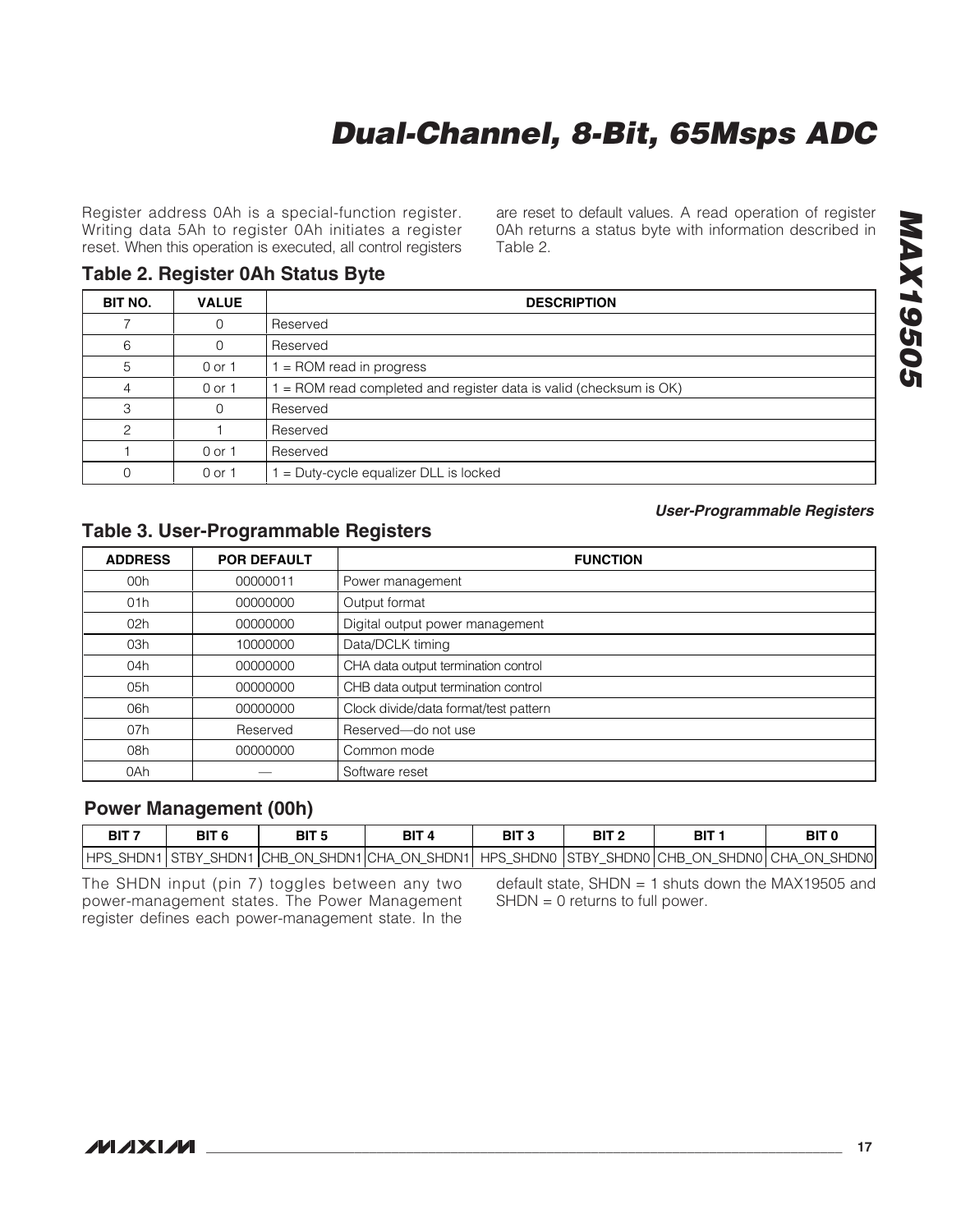Register address 0Ah is a special-function register. Writing data 5Ah to register 0Ah initiates a register reset. When this operation is executed, all control registers

### **Table 2. Register 0Ah Status Byte**

┯

П

are reset to default values. A read operation of register 0Ah returns a status byte with information described in Table 2.

**User-Programmable Registers**

| BIT NO. | <b>VALUE</b> | <b>DESCRIPTION</b>                                                 |
|---------|--------------|--------------------------------------------------------------------|
|         | 0            | Reserved                                                           |
| 6       |              | Reserved                                                           |
| 5       | 0 or 1       | = ROM read in progress                                             |
|         | 0 or 1       | $=$ ROM read completed and register data is valid (checksum is OK) |
| З       | $\Omega$     | Reserved                                                           |
| ⌒       |              | Reserved                                                           |
|         | 0 or 1       | Reserved                                                           |
|         | 0 or 1       | $=$ Duty-cycle equalizer DLL is locked                             |

### **Table 3. User-Programmable Registers**

| <b>ADDRESS</b> | <b>POR DEFAULT</b> | <b>FUNCTION</b>                       |
|----------------|--------------------|---------------------------------------|
| 00h            | 00000011           | Power management                      |
| 01h            | 00000000           | Output format                         |
| 02h            | 00000000           | Digital output power management       |
| 03h            | 10000000           | Data/DCLK timing                      |
| 04h            | 00000000           | CHA data output termination control   |
| 05h            | 00000000           | CHB data output termination control   |
| 06h            | 00000000           | Clock divide/data format/test pattern |
| 07h            | Reserved           | Reserved-do not use                   |
| 08h            | 00000000           | Common mode                           |
| 0Ah            |                    | Software reset                        |

### **Power Management (00h)**

| BIT <sub>7</sub> | BIT <sub>6</sub> | BIT <sub>5</sub> | BIT <sub>4</sub> | BIT <sub>3</sub> | BIT <sub>2</sub> | BIT 1                                                                                           | BIT <sub>0</sub> |
|------------------|------------------|------------------|------------------|------------------|------------------|-------------------------------------------------------------------------------------------------|------------------|
|                  |                  |                  |                  |                  |                  | HPS_SHDN1 STBY_SHDN1 CHB_ON_SHDN1 CHA_ON_SHDN1  HPS_SHDN0  STBY_SHDN0 CHB_ON_SHDN0 CHA_ON_SHDN0 |                  |

The SHDN input (pin 7) toggles between any two power-management states. The Power Management register defines each power-management state. In the default state, SHDN = 1 shuts down the MAX19505 and SHDN = 0 returns to full power.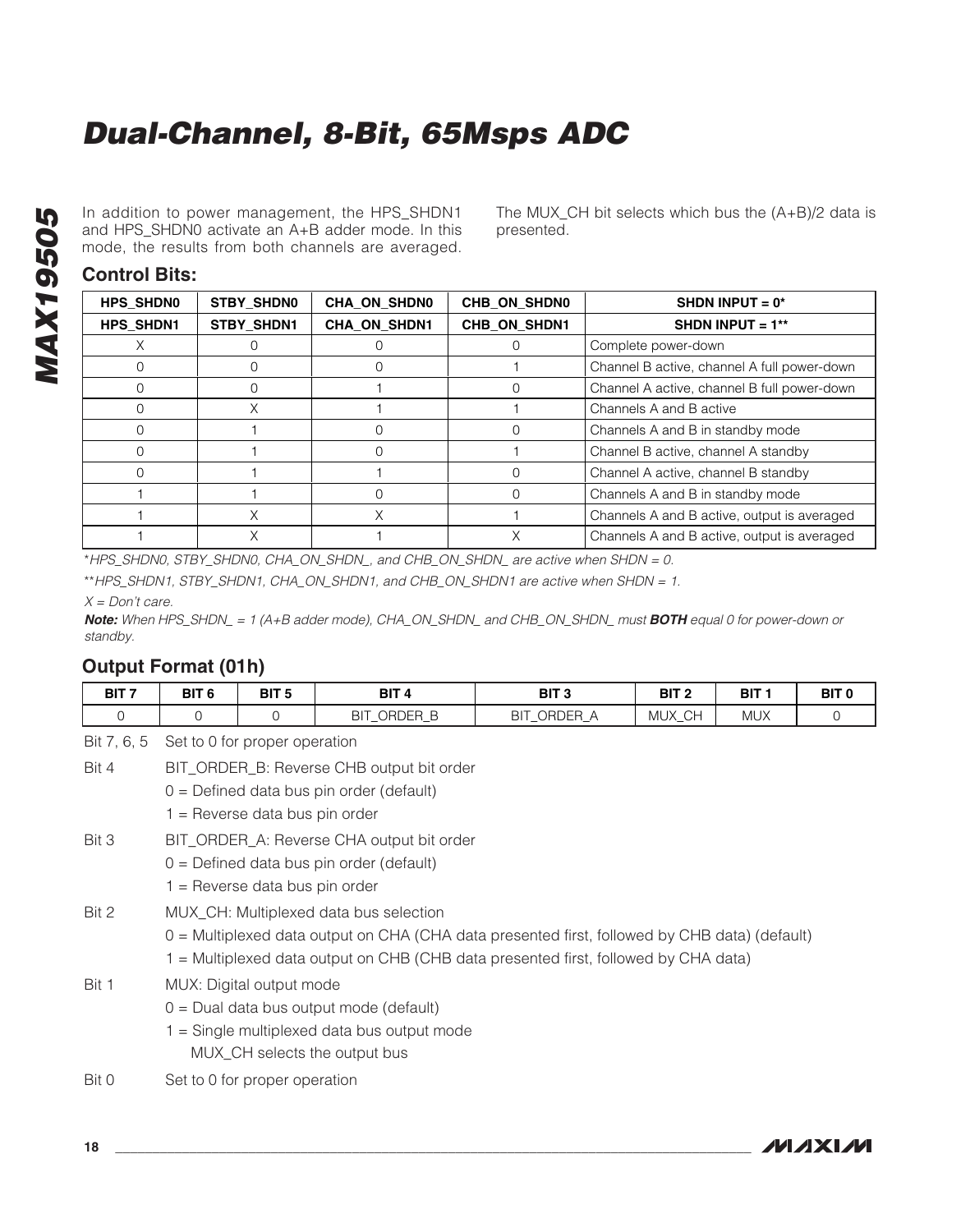In addition to power management, the HPS\_SHDN1 and HPS\_SHDN0 activate an A+B adder mode. In this mode, the results from both channels are averaged.

The MUX\_CH bit selects which bus the (A+B)/2 data is presented.

#### **Control Bits:**

| <b>HPS SHDN0</b> | STBY_SHDN0        | <b>CHA_ON_SHDN0</b> | CHB ON SHDN0 | SHDN INPUT = $0*$                           |
|------------------|-------------------|---------------------|--------------|---------------------------------------------|
| <b>HPS SHDN1</b> | <b>STBY SHDN1</b> | <b>CHA ON SHDN1</b> | CHB ON SHDN1 | SHDN INPUT = $1**$                          |
|                  |                   |                     |              | Complete power-down                         |
|                  |                   |                     |              | Channel B active, channel A full power-down |
|                  |                   |                     |              | Channel A active, channel B full power-down |
|                  | X.                |                     |              | Channels A and B active                     |
|                  |                   |                     |              | Channels A and B in standby mode            |
|                  |                   |                     |              | Channel B active, channel A standby         |
|                  |                   |                     |              | Channel A active, channel B standby         |
|                  |                   |                     |              | Channels A and B in standby mode            |
|                  | X                 |                     |              | Channels A and B active, output is averaged |
|                  | X                 |                     |              | Channels A and B active, output is averaged |

\*HPS\_SHDN0, STBY\_SHDN0, CHA\_ON\_SHDN\_, and CHB\_ON\_SHDN\_ are active when SHDN = 0.

\*\*HPS\_SHDN1, STBY\_SHDN1, CHA\_ON\_SHDN1, and CHB\_ON\_SHDN1 are active when SHDN = 1.

 $X = Don't care.$ 

**Note:** When HPS\_SHDN\_ = 1 (A+B adder mode), CHA\_ON\_SHDN\_ and CHB\_ON\_SHDN\_ must **BOTH** equal 0 for power-down or standby.

### **Output Format (01h)**

| BIT <sub>7</sub> | BIT <sub>6</sub>                                                                                                                                        | BIT <sub>5</sub> | BIT <sub>4</sub>                       | BIT <sub>3</sub>                                                                                                                                                                       | BIT <sub>2</sub> | BIT <sub>1</sub> | BIT <sub>0</sub> |  |  |
|------------------|---------------------------------------------------------------------------------------------------------------------------------------------------------|------------------|----------------------------------------|----------------------------------------------------------------------------------------------------------------------------------------------------------------------------------------|------------------|------------------|------------------|--|--|
| $\Omega$         | $\mathbf 0$                                                                                                                                             | 0                | BIT_ORDER_B                            | BIT_ORDER_A                                                                                                                                                                            | MUX_CH           | <b>MUX</b>       | 0                |  |  |
| Bit 7, 6, 5      | Set to 0 for proper operation                                                                                                                           |                  |                                        |                                                                                                                                                                                        |                  |                  |                  |  |  |
| Bit 4            | BIT_ORDER_B: Reverse CHB output bit order<br>$0 =$ Defined data bus pin order (default)<br>$1 =$ Reverse data bus pin order                             |                  |                                        |                                                                                                                                                                                        |                  |                  |                  |  |  |
| Bit 3            | BIT_ORDER_A: Reverse CHA output bit order<br>$0 =$ Defined data bus pin order (default)<br>$1 =$ Reverse data bus pin order                             |                  |                                        |                                                                                                                                                                                        |                  |                  |                  |  |  |
| Bit 2            |                                                                                                                                                         |                  | MUX_CH: Multiplexed data bus selection | $0 =$ Multiplexed data output on CHA (CHA data presented first, followed by CHB data) (default)<br>1 = Multiplexed data output on CHB (CHB data presented first, followed by CHA data) |                  |                  |                  |  |  |
| Bit 1            | MUX: Digital output mode<br>$0 =$ Dual data bus output mode (default)<br>$1 =$ Single multiplexed data bus output mode<br>MUX_CH selects the output bus |                  |                                        |                                                                                                                                                                                        |                  |                  |                  |  |  |
| Diff A           | Cot to 0 for proper operation                                                                                                                           |                  |                                        |                                                                                                                                                                                        |                  |                  |                  |  |  |

Bit 0 Set to 0 for proper operation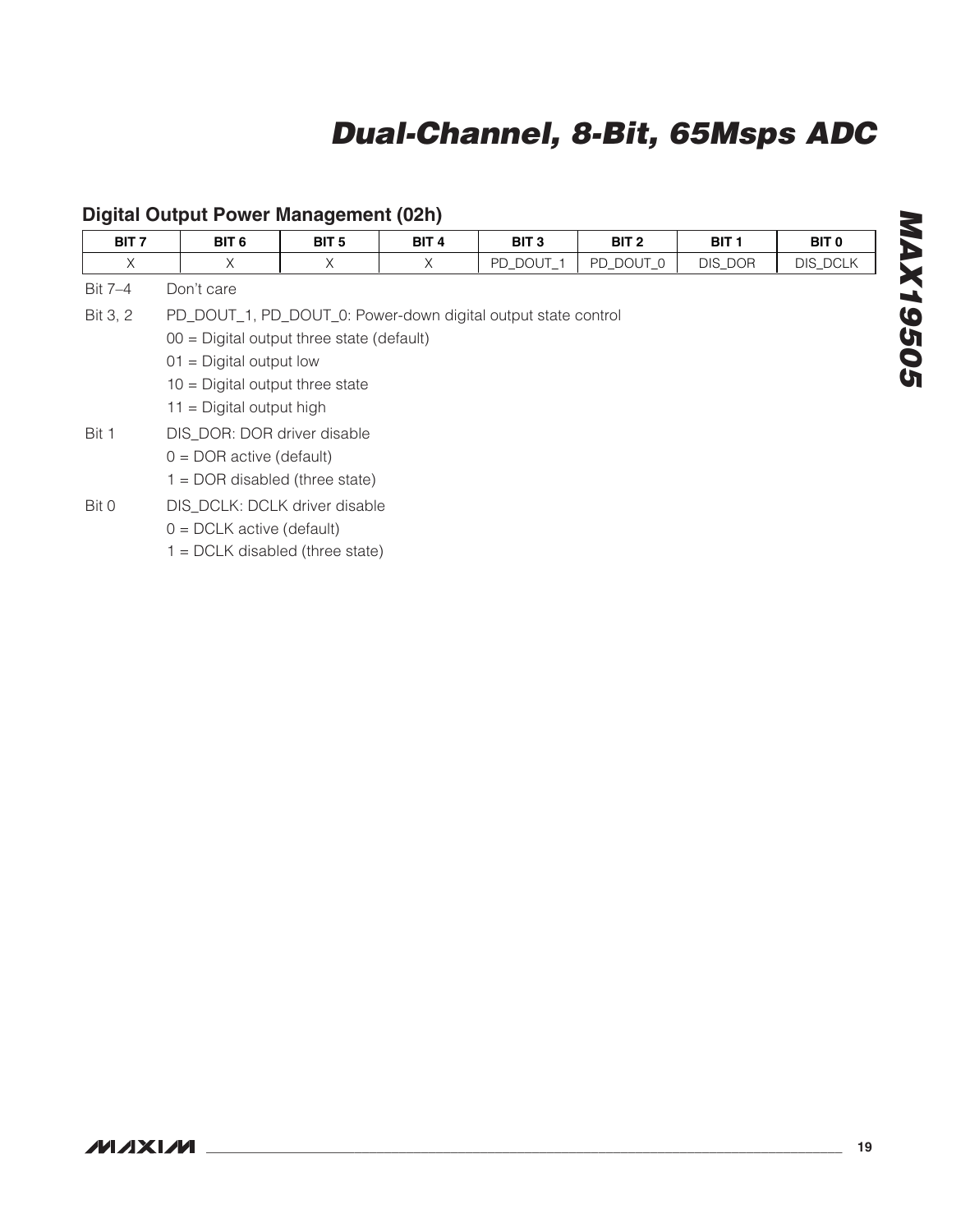| BIT <sub>7</sub> | BIT <sub>6</sub>                                              | BIT <sub>5</sub> | BIT <sub>4</sub> | BIT <sub>3</sub> | BIT <sub>2</sub> | BIT <sub>1</sub> | BIT <sub>0</sub> |
|------------------|---------------------------------------------------------------|------------------|------------------|------------------|------------------|------------------|------------------|
| X                | X                                                             | X                | X                | PD DOUT 1        | PD DOUT 0        | DIS_DOR          | DIS_DCLK         |
| Bit 7-4          | Don't care                                                    |                  |                  |                  |                  |                  |                  |
| Bit 3, 2         | PD_DOUT_1, PD_DOUT_0: Power-down digital output state control |                  |                  |                  |                  |                  |                  |
|                  | $00 =$ Digital output three state (default)                   |                  |                  |                  |                  |                  |                  |
|                  | $01 =$ Digital output low                                     |                  |                  |                  |                  |                  |                  |
|                  | $10 =$ Digital output three state                             |                  |                  |                  |                  |                  |                  |
|                  | $11 =$ Digital output high                                    |                  |                  |                  |                  |                  |                  |
| Bit 1            | DIS_DOR: DOR driver disable                                   |                  |                  |                  |                  |                  |                  |
|                  | $0 = DOR$ active (default)                                    |                  |                  |                  |                  |                  |                  |
|                  | $1 = DOR$ disabled (three state)                              |                  |                  |                  |                  |                  |                  |
| Bit 0            | DIS_DCLK: DCLK driver disable                                 |                  |                  |                  |                  |                  |                  |
|                  | $0 = DCLK$ active (default)                                   |                  |                  |                  |                  |                  |                  |
|                  | $1 = DCLK$ disabled (three state)                             |                  |                  |                  |                  |                  |                  |

### **Digital Output Power Management (02h)**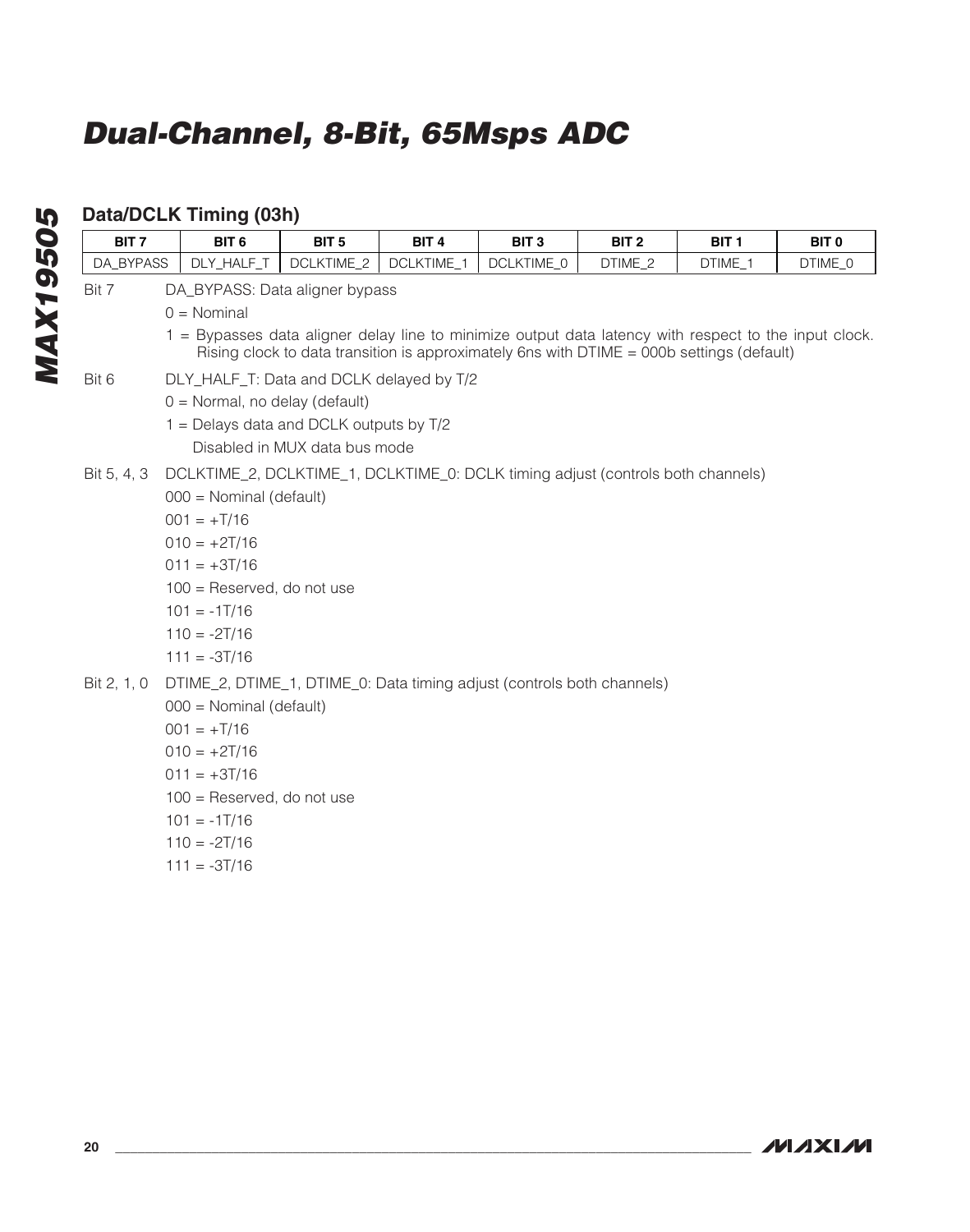## **Data/DCLK Timing (03h)**

| BIT <sub>7</sub> | BIT <sub>6</sub>                                                                                                                                                                                   | BIT <sub>5</sub>              | BIT <sub>4</sub> | BIT <sub>3</sub> | BIT <sub>2</sub> | BIT <sub>1</sub> | BIT <sub>0</sub> |  |  |
|------------------|----------------------------------------------------------------------------------------------------------------------------------------------------------------------------------------------------|-------------------------------|------------------|------------------|------------------|------------------|------------------|--|--|
| DA BYPASS        | DLY_HALF_T<br><b>DCLKTIME 2</b><br>DCLKTIME 1<br>DCLKTIME 0<br>DTIME 2<br>DTIME 1<br>DTIME 0                                                                                                       |                               |                  |                  |                  |                  |                  |  |  |
| Bit 7            | DA_BYPASS: Data aligner bypass                                                                                                                                                                     |                               |                  |                  |                  |                  |                  |  |  |
|                  | $0 = \text{Nominal}$                                                                                                                                                                               |                               |                  |                  |                  |                  |                  |  |  |
|                  | 1 = Bypasses data aligner delay line to minimize output data latency with respect to the input clock.<br>Rising clock to data transition is approximately 6ns with DTIME = 000b settings (default) |                               |                  |                  |                  |                  |                  |  |  |
| Bit 6            | DLY_HALF_T: Data and DCLK delayed by T/2                                                                                                                                                           |                               |                  |                  |                  |                  |                  |  |  |
|                  | $0 =$ Normal, no delay (default)                                                                                                                                                                   |                               |                  |                  |                  |                  |                  |  |  |
|                  | 1 = Delays data and DCLK outputs by T/2                                                                                                                                                            |                               |                  |                  |                  |                  |                  |  |  |
|                  |                                                                                                                                                                                                    | Disabled in MUX data bus mode |                  |                  |                  |                  |                  |  |  |
| Bit 5, 4, 3      | DCLKTIME_2, DCLKTIME_1, DCLKTIME_0: DCLK timing adjust (controls both channels)                                                                                                                    |                               |                  |                  |                  |                  |                  |  |  |
|                  | $000 =$ Nominal (default)                                                                                                                                                                          |                               |                  |                  |                  |                  |                  |  |  |
|                  | $001 = +T/16$                                                                                                                                                                                      |                               |                  |                  |                  |                  |                  |  |  |
|                  | $010 = +2T/16$                                                                                                                                                                                     |                               |                  |                  |                  |                  |                  |  |  |
|                  | $011 = +3T/16$                                                                                                                                                                                     |                               |                  |                  |                  |                  |                  |  |  |
|                  | 100 = Reserved, do not use                                                                                                                                                                         |                               |                  |                  |                  |                  |                  |  |  |
|                  | $101 = -1T/16$                                                                                                                                                                                     |                               |                  |                  |                  |                  |                  |  |  |
|                  | $110 = -2T/16$                                                                                                                                                                                     |                               |                  |                  |                  |                  |                  |  |  |
|                  | $111 = -3T/16$                                                                                                                                                                                     |                               |                  |                  |                  |                  |                  |  |  |
| Bit 2, 1, 0      | DTIME_2, DTIME_1, DTIME_0: Data timing adjust (controls both channels)                                                                                                                             |                               |                  |                  |                  |                  |                  |  |  |
|                  | 000 = Nominal (default)                                                                                                                                                                            |                               |                  |                  |                  |                  |                  |  |  |
|                  | $001 = +T/16$                                                                                                                                                                                      |                               |                  |                  |                  |                  |                  |  |  |
|                  | $010 = +2T/16$                                                                                                                                                                                     |                               |                  |                  |                  |                  |                  |  |  |
|                  | $011 = +3T/16$                                                                                                                                                                                     |                               |                  |                  |                  |                  |                  |  |  |
|                  | 100 = Reserved, do not use                                                                                                                                                                         |                               |                  |                  |                  |                  |                  |  |  |
|                  | $101 = -1T/16$                                                                                                                                                                                     |                               |                  |                  |                  |                  |                  |  |  |

- $110 = -2T/16$
- $111 = -3T/16$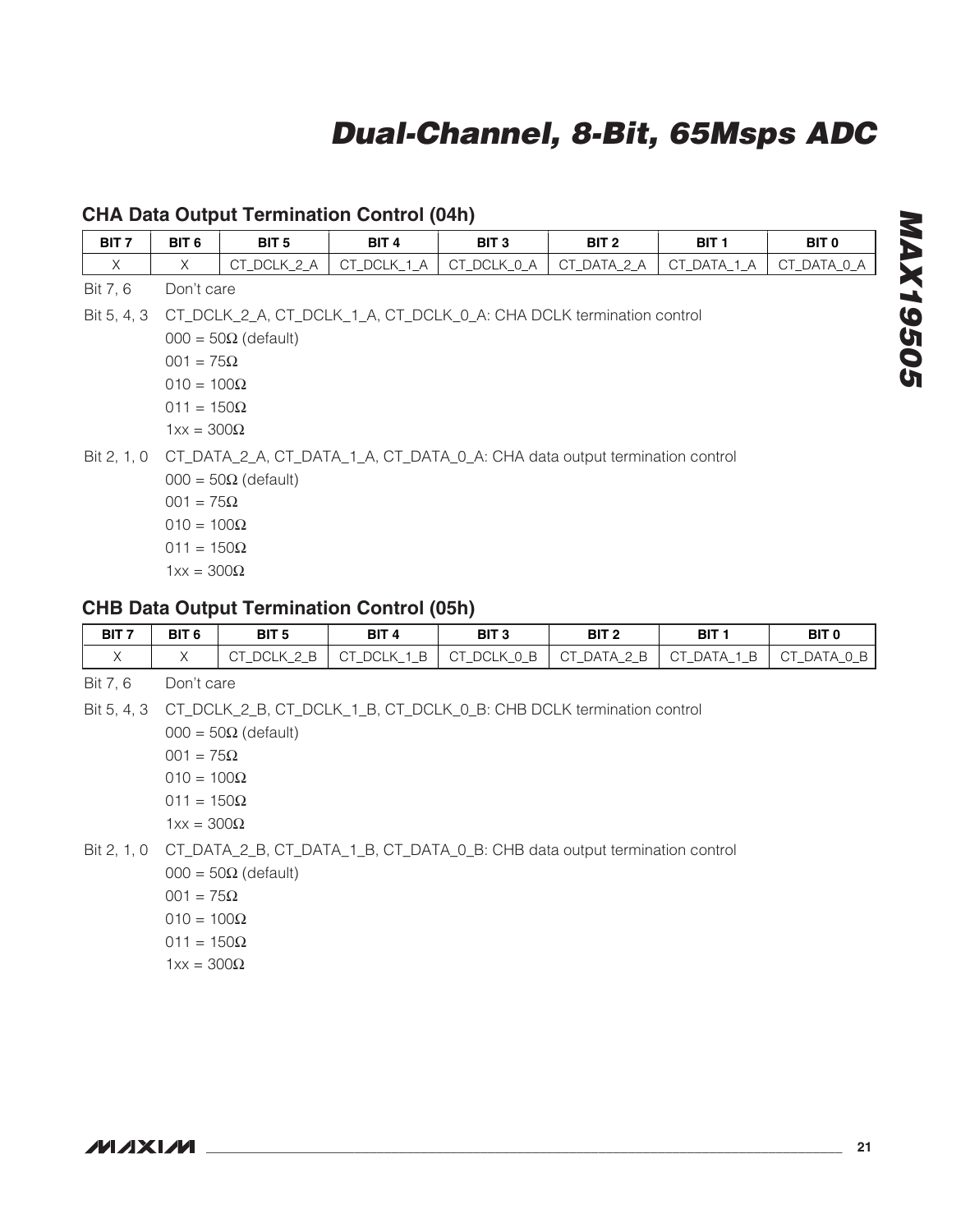### **CHA Data Output Termination Control (04h)**

| BIT <sub>7</sub> | BIT <sub>6</sub>                                                                                                                                                                     | BIT <sub>5</sub>                                                                                                     | BIT <sub>4</sub> | BIT <sub>3</sub> | BIT <sub>2</sub> | BIT <sub>1</sub> | BIT <sub>0</sub> |  |  |
|------------------|--------------------------------------------------------------------------------------------------------------------------------------------------------------------------------------|----------------------------------------------------------------------------------------------------------------------|------------------|------------------|------------------|------------------|------------------|--|--|
| $\times$         | X                                                                                                                                                                                    | CT_DCLK_2_A                                                                                                          | CT_DCLK_1_A      | CT_DCLK_0_A      | CT_DATA_2_A      | CT_DATA_1_A      | CT_DATA_0_A      |  |  |
| Bit 7, 6         |                                                                                                                                                                                      | Don't care                                                                                                           |                  |                  |                  |                  |                  |  |  |
| Bit 5, 4, 3      | CT_DCLK_2_A, CT_DCLK_1_A, CT_DCLK_0_A: CHA DCLK termination control<br>$000 = 50\Omega$ (default)<br>$001 = 75\Omega$<br>$010 = 100\Omega$<br>$011 = 150\Omega$<br>$1xx = 300\Omega$ |                                                                                                                      |                  |                  |                  |                  |                  |  |  |
|                  | $001 = 75\Omega$<br>$010 = 100\Omega$<br>$011 = 150\Omega$<br>$1xx = 300\Omega$                                                                                                      | Bit 2, 1, 0 CT_DATA_2_A, CT_DATA_1_A, CT_DATA_0_A: CHA data output termination control<br>$000 = 50\Omega$ (default) |                  |                  |                  |                  |                  |  |  |
|                  |                                                                                                                                                                                      | <b>CHB Data Output Termination Control (05h)</b>                                                                     |                  |                  |                  |                  |                  |  |  |

| BIT 7 | BIT <sub>6</sub> | BIT <sub>5</sub> | BIT <sub>4</sub> | BIT <sub>3</sub> | BIT <sub>2</sub> | <b>BIT</b> | <b>BIT 0</b> |
|-------|------------------|------------------|------------------|------------------|------------------|------------|--------------|
|       |                  | B<br><b>DCLK</b> |                  |                  |                  | 1 B -      | CT DATA 0 B  |

Bit 7, 6 Don't care

Bit 5, 4, 3 CT\_DCLK\_2\_B, CT\_DCLK\_1\_B, CT\_DCLK\_0\_B: CHB DCLK termination control

 $000 = 50\Omega$  (default)

- $001 = 75Ω$ 010 = 100Ω
- 011 = 150Ω
- $1xx = 300Ω$
- Bit 2, 1, 0 CT\_DATA\_2\_B, CT\_DATA\_1\_B, CT\_DATA\_0\_B: CHB data output termination control

 $000 = 50\Omega$  (default)

- $001 = 75Ω$
- 010 = 100Ω
- $011 = 150Ω$
- $1xx = 300Ω$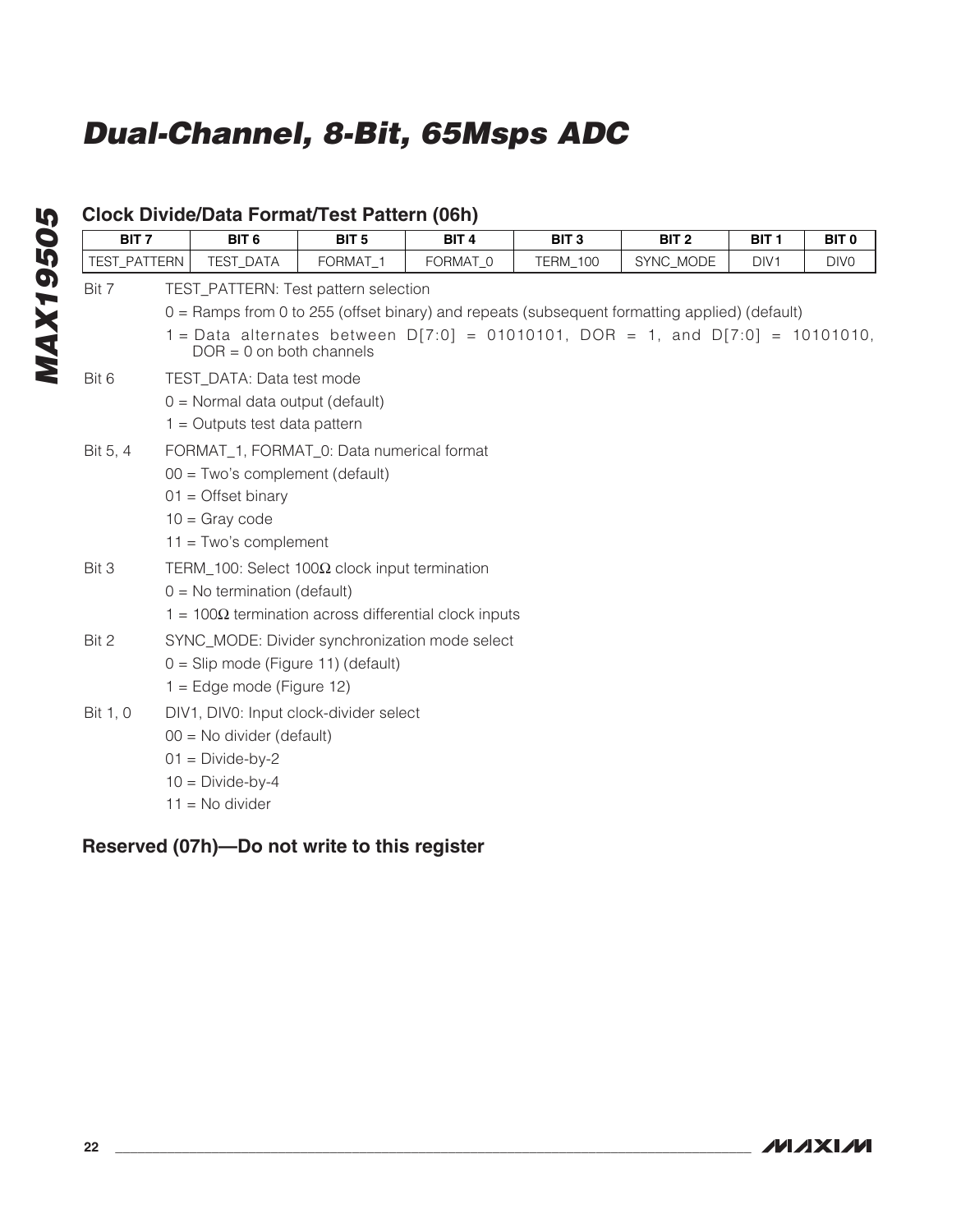| BIT <sub>7</sub> | BIT <sub>6</sub>                   | BIT <sub>5</sub>                                      | BIT <sub>4</sub>                                             | BIT <sub>3</sub> | BIT <sub>2</sub>                                                                              | BIT <sub>1</sub> | BIT <sub>0</sub> |
|------------------|------------------------------------|-------------------------------------------------------|--------------------------------------------------------------|------------------|-----------------------------------------------------------------------------------------------|------------------|------------------|
| TEST PATTERN     | <b>TEST DATA</b>                   | FORMAT <sub>1</sub>                                   | FORMAT 0                                                     | <b>TERM 100</b>  | SYNC_MODE                                                                                     | DIV <sub>1</sub> | DIV <sub>0</sub> |
| Bit 7            |                                    | TEST_PATTERN: Test pattern selection                  |                                                              |                  |                                                                                               |                  |                  |
|                  |                                    |                                                       |                                                              |                  | 0 = Ramps from 0 to 255 (offset binary) and repeats (subsequent formatting applied) (default) |                  |                  |
|                  |                                    | $DOR = 0$ on both channels                            |                                                              |                  | 1 = Data alternates between $D[7:0] = 01010101$ , DOR = 1, and $D[7:0] = 10101010$ ,          |                  |                  |
| Bit 6            | TEST_DATA: Data test mode          |                                                       |                                                              |                  |                                                                                               |                  |                  |
|                  | $0 =$ Normal data output (default) |                                                       |                                                              |                  |                                                                                               |                  |                  |
|                  | $1 =$ Outputs test data pattern    |                                                       |                                                              |                  |                                                                                               |                  |                  |
| Bit 5, 4         |                                    | FORMAT_1, FORMAT_0: Data numerical format             |                                                              |                  |                                                                                               |                  |                  |
|                  | 00 = Two's complement (default)    |                                                       |                                                              |                  |                                                                                               |                  |                  |
|                  | $01 =$ Offset binary               |                                                       |                                                              |                  |                                                                                               |                  |                  |
|                  | $10 =$ Gray code                   |                                                       |                                                              |                  |                                                                                               |                  |                  |
|                  | $11 = Two's complement$            |                                                       |                                                              |                  |                                                                                               |                  |                  |
| Bit 3            |                                    | TERM_100: Select 100 $\Omega$ clock input termination |                                                              |                  |                                                                                               |                  |                  |
|                  | $0 = No$ termination (default)     |                                                       |                                                              |                  |                                                                                               |                  |                  |
|                  |                                    |                                                       | $1 = 100\Omega$ termination across differential clock inputs |                  |                                                                                               |                  |                  |
| Bit 2            |                                    |                                                       | SYNC_MODE: Divider synchronization mode select               |                  |                                                                                               |                  |                  |
|                  |                                    | $0 =$ Slip mode (Figure 11) (default)                 |                                                              |                  |                                                                                               |                  |                  |
|                  | $1 = Edge mode (Figure 12)$        |                                                       |                                                              |                  |                                                                                               |                  |                  |
| Bit 1, 0         |                                    | DIV1, DIV0: Input clock-divider select                |                                                              |                  |                                                                                               |                  |                  |
|                  | $00 = No$ divider (default)        |                                                       |                                                              |                  |                                                                                               |                  |                  |
|                  | $01 = Divide-by-2$                 |                                                       |                                                              |                  |                                                                                               |                  |                  |
|                  | $10 = Divide-by-4$                 |                                                       |                                                              |                  |                                                                                               |                  |                  |
|                  | $11 = No$ divider                  |                                                       |                                                              |                  |                                                                                               |                  |                  |

## **Clock Divide/Data Format/Test Pattern (06h)**

## **Reserved (07h)—Do not write to this register**

**MAXM**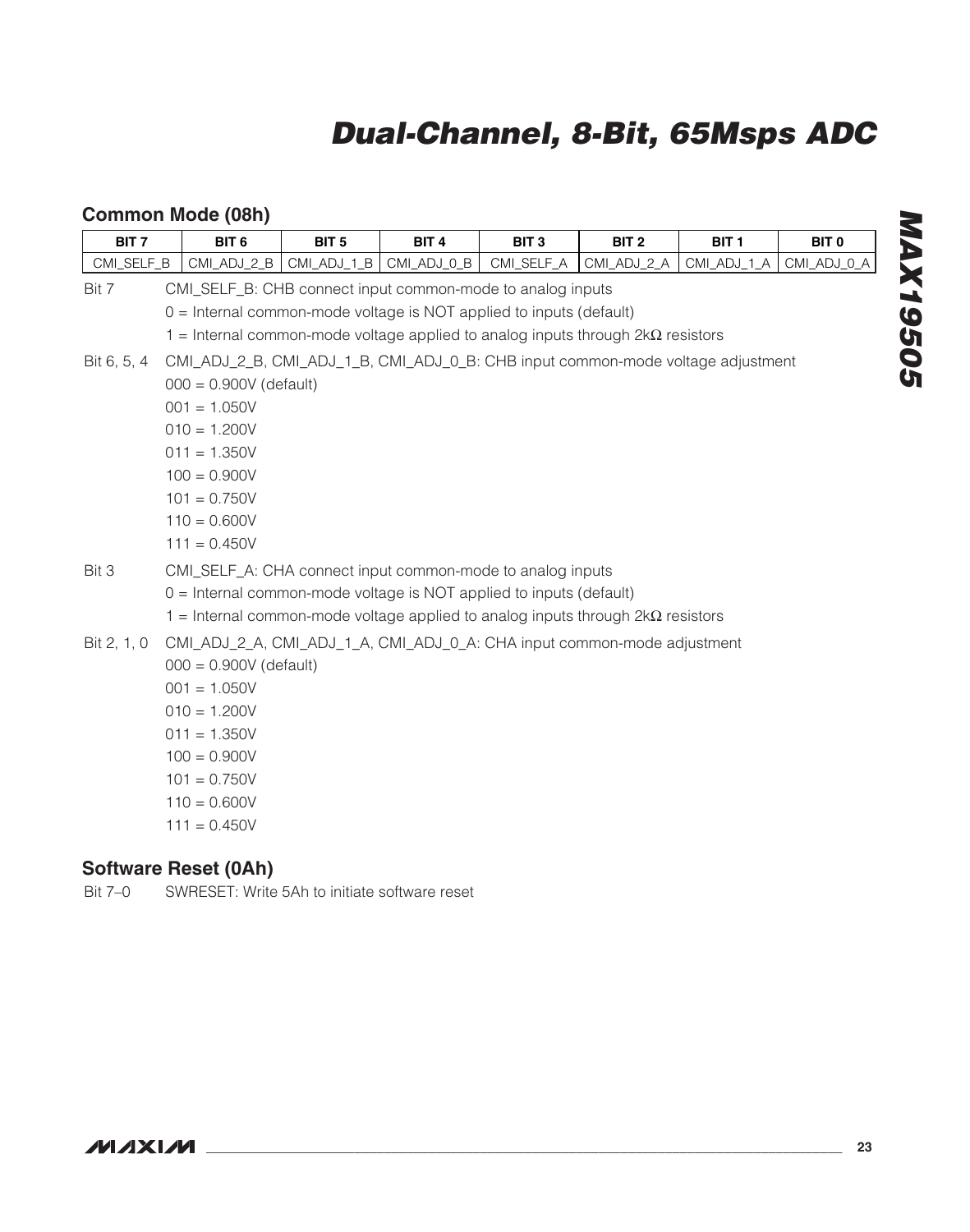## **Common Mode (08h)**

| BIT <sub>7</sub> | BIT <sub>6</sub>                                                                         | BIT <sub>5</sub> | BIT <sub>4</sub> | BIT <sub>3</sub> | BIT <sub>2</sub> | BIT <sub>1</sub> | BIT <sub>0</sub> |  |
|------------------|------------------------------------------------------------------------------------------|------------------|------------------|------------------|------------------|------------------|------------------|--|
| CMI_SELF_B       | CMI_ADJ_2_B                                                                              | CMI_ADJ_1_B      | CMI_ADJ_0_B      | CMI_SELF_A       | CMI_ADJ_2_A      | CMI_ADJ_1_A      | CMI_ADJ_0_A      |  |
| Bit 7            | CMI_SELF_B: CHB connect input common-mode to analog inputs                               |                  |                  |                  |                  |                  |                  |  |
|                  | 0 = Internal common-mode voltage is NOT applied to inputs (default)                      |                  |                  |                  |                  |                  |                  |  |
|                  | $1$ = Internal common-mode voltage applied to analog inputs through $2k\Omega$ resistors |                  |                  |                  |                  |                  |                  |  |
| Bit 6, 5, 4      | CMI_ADJ_2_B, CMI_ADJ_1_B, CMI_ADJ_0_B: CHB input common-mode voltage adjustment          |                  |                  |                  |                  |                  |                  |  |
|                  | $000 = 0.900V$ (default)                                                                 |                  |                  |                  |                  |                  |                  |  |
|                  | $001 = 1.050V$                                                                           |                  |                  |                  |                  |                  |                  |  |
|                  | $010 = 1.200V$                                                                           |                  |                  |                  |                  |                  |                  |  |
|                  | $011 = 1.350V$                                                                           |                  |                  |                  |                  |                  |                  |  |
|                  | $100 = 0.900V$                                                                           |                  |                  |                  |                  |                  |                  |  |
|                  | $101 = 0.750V$                                                                           |                  |                  |                  |                  |                  |                  |  |
|                  | $110 = 0.600V$                                                                           |                  |                  |                  |                  |                  |                  |  |
|                  | $111 = 0.450V$                                                                           |                  |                  |                  |                  |                  |                  |  |
| Bit 3            | CMI_SELF_A: CHA connect input common-mode to analog inputs                               |                  |                  |                  |                  |                  |                  |  |
|                  | $0 =$ Internal common-mode voltage is NOT applied to inputs (default)                    |                  |                  |                  |                  |                  |                  |  |
|                  | 1 = Internal common-mode voltage applied to analog inputs through $2k\Omega$ resistors   |                  |                  |                  |                  |                  |                  |  |
| Bit 2, 1, 0      | CMI_ADJ_2_A, CMI_ADJ_1_A, CMI_ADJ_0_A: CHA input common-mode adjustment                  |                  |                  |                  |                  |                  |                  |  |
|                  | $000 = 0.900V$ (default)                                                                 |                  |                  |                  |                  |                  |                  |  |
|                  | $001 = 1.050V$                                                                           |                  |                  |                  |                  |                  |                  |  |
|                  | $010 = 1.200V$                                                                           |                  |                  |                  |                  |                  |                  |  |
|                  | $011 = 1.350V$                                                                           |                  |                  |                  |                  |                  |                  |  |
|                  | $100 = 0.900V$                                                                           |                  |                  |                  |                  |                  |                  |  |
|                  | $101 = 0.750V$                                                                           |                  |                  |                  |                  |                  |                  |  |
|                  | $110 = 0.600V$                                                                           |                  |                  |                  |                  |                  |                  |  |
|                  | $111 = 0.450V$                                                                           |                  |                  |                  |                  |                  |                  |  |
|                  |                                                                                          |                  |                  |                  |                  |                  |                  |  |

### **Software Reset (0Ah)**

Bit 7–0 SWRESET: Write 5Ah to initiate software reset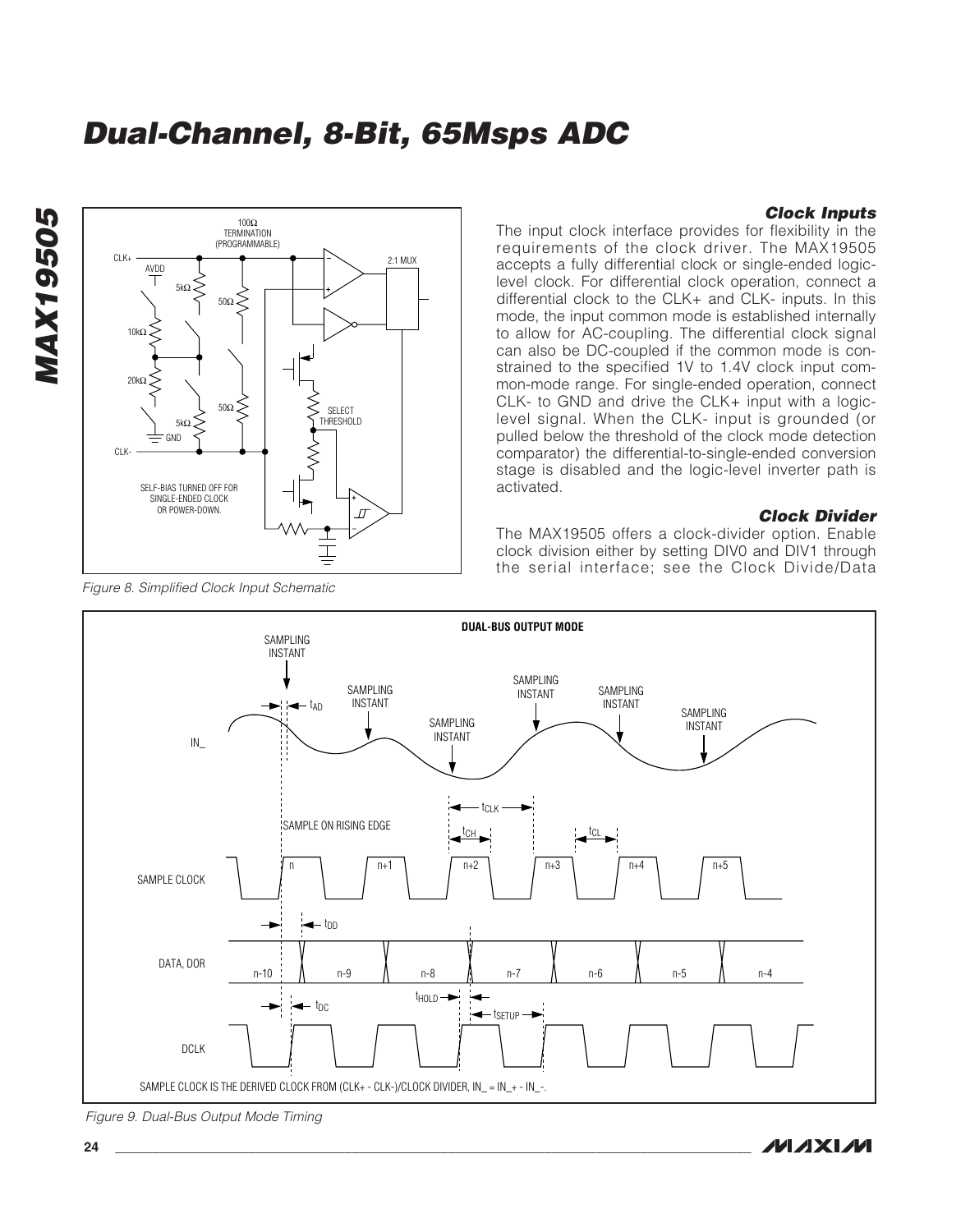SELECT THRESHOLD

 $\overline{a}$ 

SAMPLE CLOCK IS THE DERIVED CLOCK FROM (CLK+ - CLK-)/CLOCK DIVIDER, IN\_ = IN\_+ - IN\_-.

2:1 MUX

#### **Clock Inputs**

The input clock interface provides for flexibility in the requirements of the clock driver. The MAX19505 accepts a fully differential clock or single-ended logiclevel clock. For differential clock operation, connect a differential clock to the CLK+ and CLK- inputs. In this mode, the input common mode is established internally to allow for AC-coupling. The differential clock signal can also be DC-coupled if the common mode is constrained to the specified 1V to 1.4V clock input common-mode range. For single-ended operation, connect CLK- to GND and drive the CLK+ input with a logiclevel signal. When the CLK- input is grounded (or pulled below the threshold of the clock mode detection comparator) the differential-to-single-ended conversion stage is disabled and the logic-level inverter path is activated.

#### **Clock Divider**

The MAX19505 offers a clock-divider option. Enable clock division either by setting DIV0 and DIV1 through the serial interface; see the Clock Divide/Data



SELF-BIAS TURNED OFF FOR SINGLE-ENDED CLOCK OR POWER-DOWN.

GND

5kΩ

 $100Ω$ TERMINATION (PROGRAMMABLE)

50Ω

50Ω

Figure 9. Dual-Bus Output Mode Timing

**MAX19505**

**MAX19505** 

CL<sub>K</sub>

 $10k$ 

20kΩ

AVDD

5kΩ

CLK-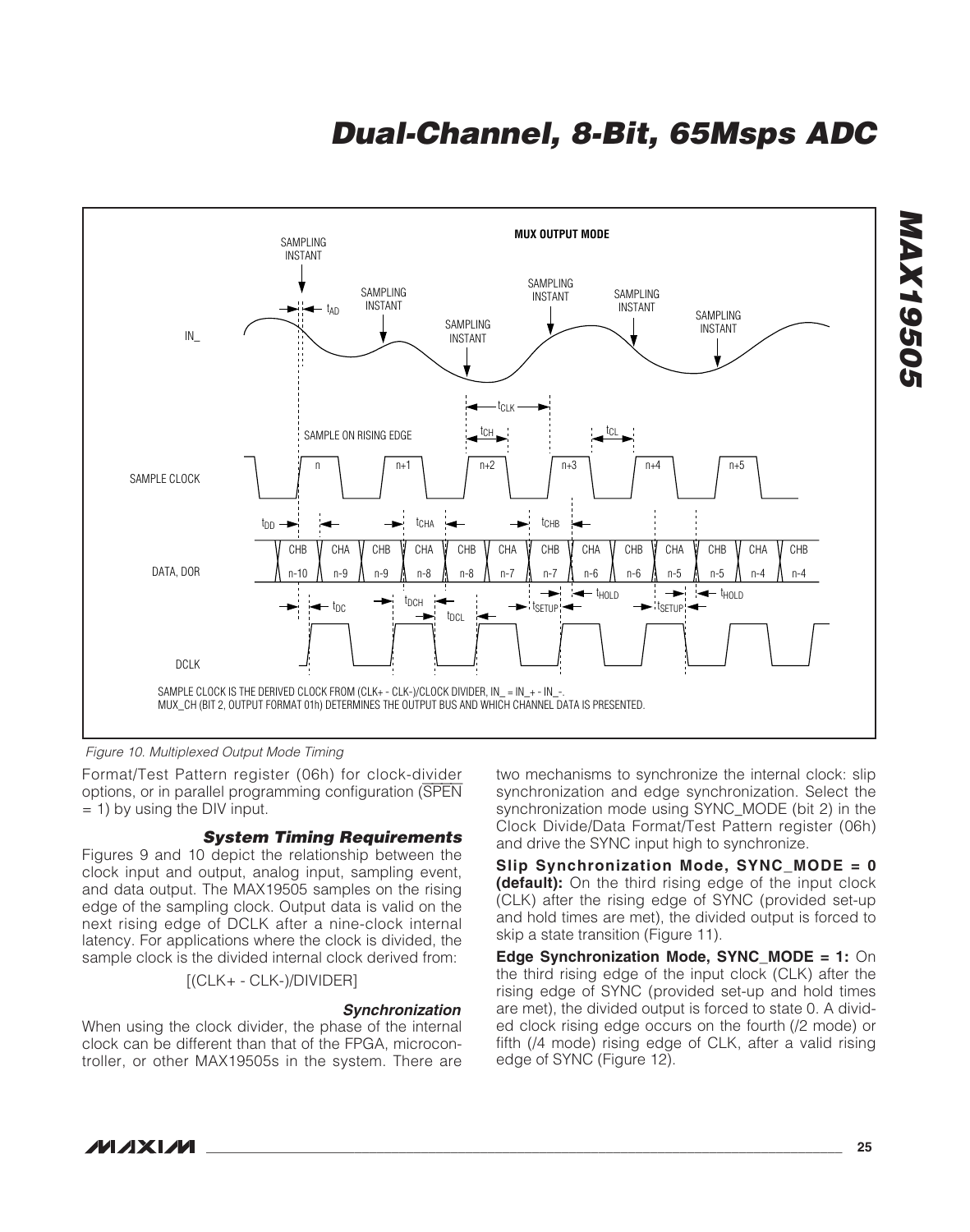

Figure 10. Multiplexed Output Mode Timing

Format/Test Pattern register (06h) for clock-divider options, or in parallel programming configuration (SPEN  $= 1$ ) by using the DIV input.

#### **System Timing Requirements**

Figures 9 and 10 depict the relationship between the clock input and output, analog input, sampling event, and data output. The MAX19505 samples on the rising edge of the sampling clock. Output data is valid on the next rising edge of DCLK after a nine-clock internal latency. For applications where the clock is divided, the sample clock is the divided internal clock derived from:

[(CLK+ - CLK-)/DIVIDER]

#### **Synchronization**

When using the clock divider, the phase of the internal clock can be different than that of the FPGA, microcontroller, or other MAX19505s in the system. There are two mechanisms to synchronize the internal clock: slip synchronization and edge synchronization. Select the synchronization mode using SYNC\_MODE (bit 2) in the Clock Divide/Data Format/Test Pattern register (06h) and drive the SYNC input high to synchronize.

**Slip Synchronization Mode, SYNC\_MODE = 0 (default):** On the third rising edge of the input clock (CLK) after the rising edge of SYNC (provided set-up and hold times are met), the divided output is forced to skip a state transition (Figure 11).

**Edge Synchronization Mode, SYNC\_MODE = 1:** On the third rising edge of the input clock (CLK) after the rising edge of SYNC (provided set-up and hold times are met), the divided output is forced to state 0. A divided clock rising edge occurs on the fourth (/2 mode) or fifth (/4 mode) rising edge of CLK, after a valid rising edge of SYNC (Figure 12).

**MAXM** 

**MAX19505**

**MAX19505**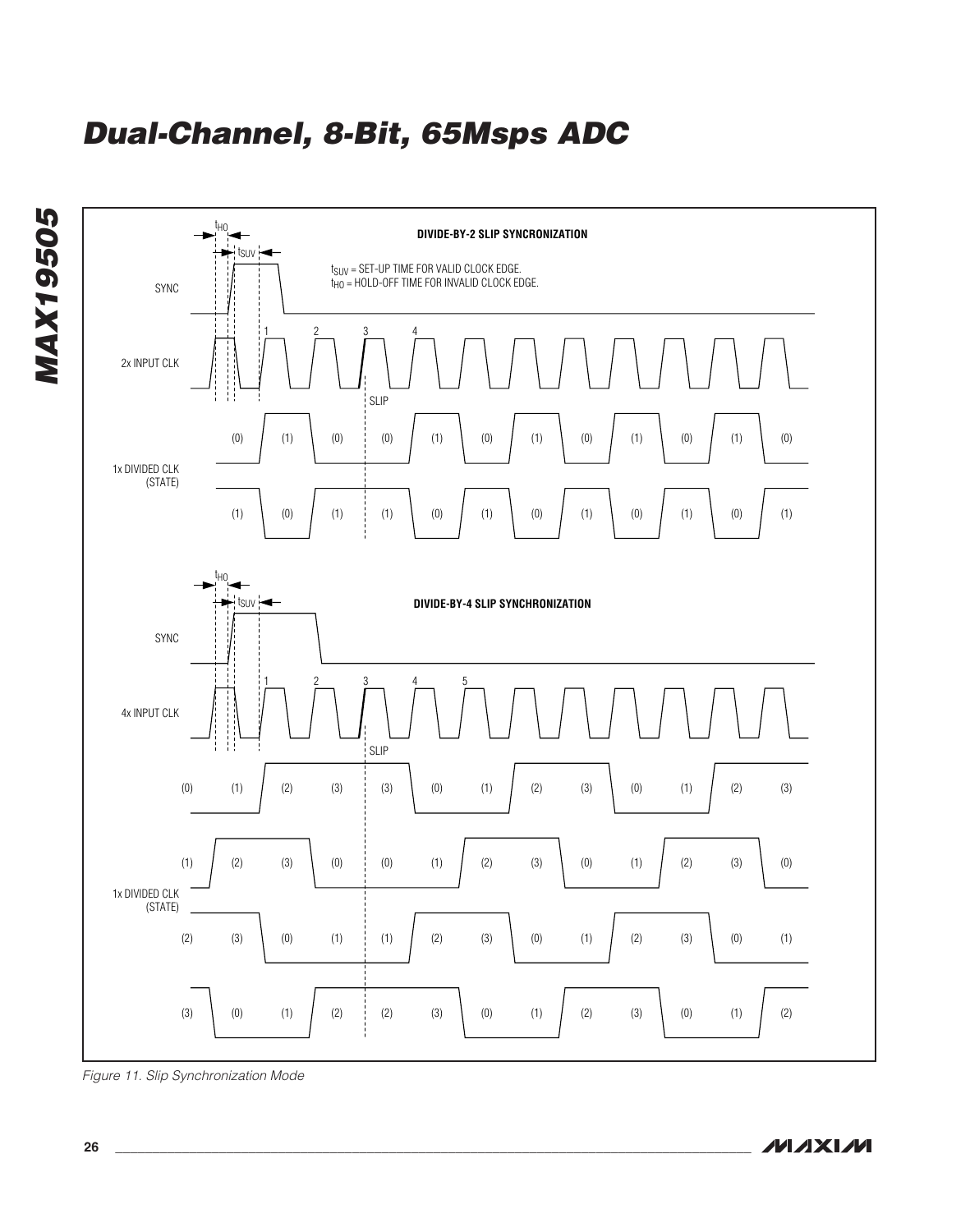

Figure 11. Slip Synchronization Mode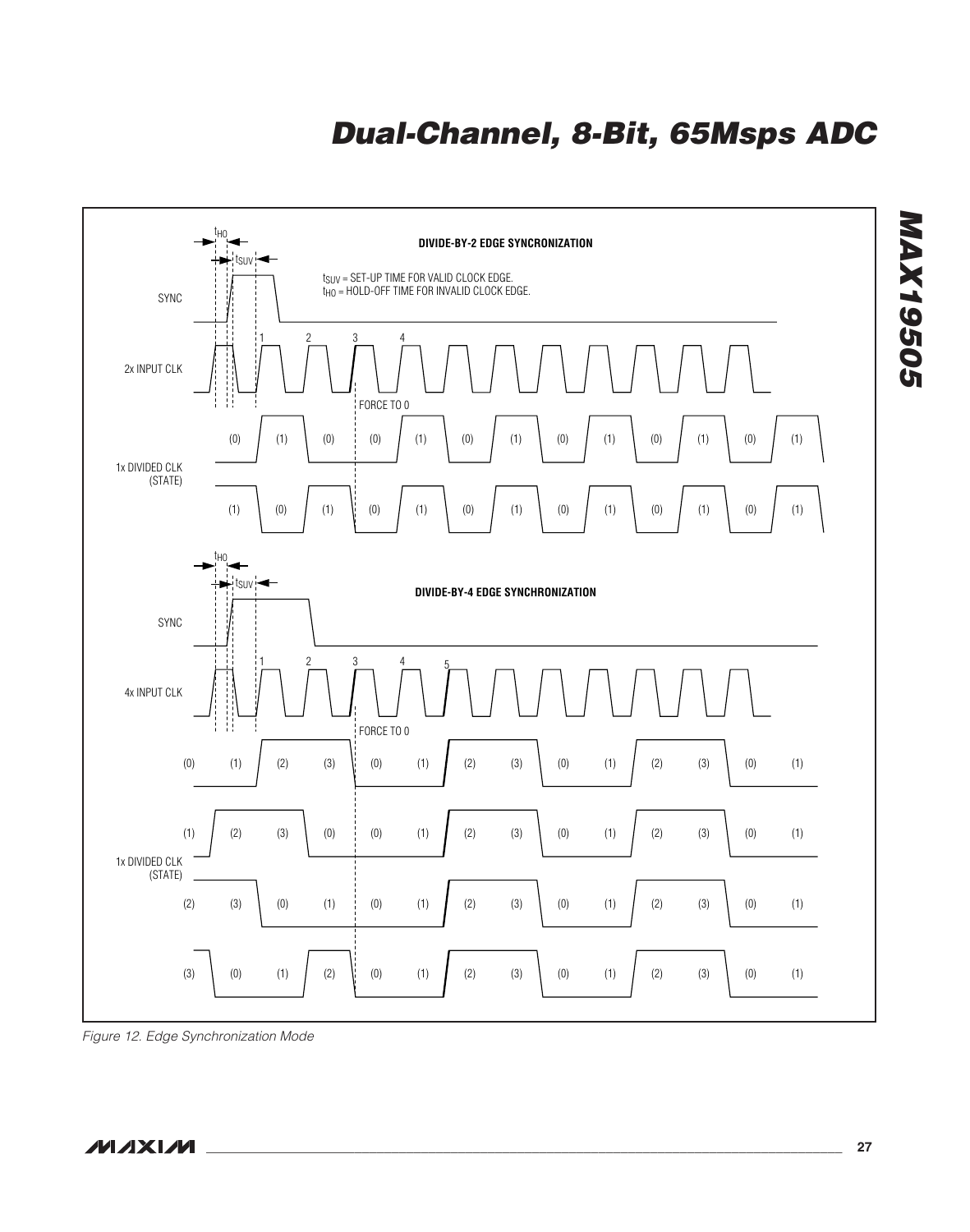

Figure 12. Edge Synchronization Mode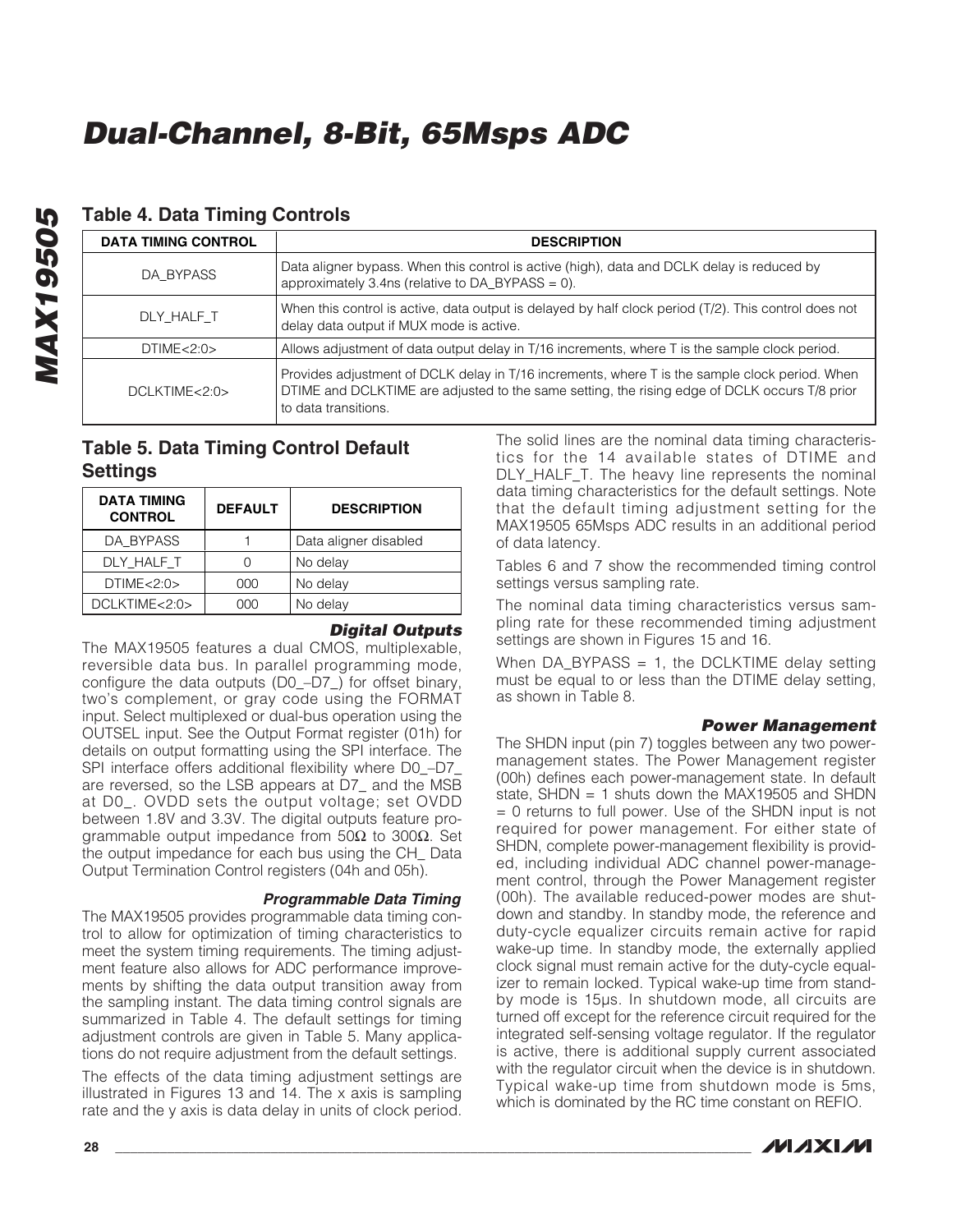| <b>DATA TIMING CONTROL</b> | <b>DESCRIPTION</b>                                                                                                                                                                                                      |
|----------------------------|-------------------------------------------------------------------------------------------------------------------------------------------------------------------------------------------------------------------------|
| DA BYPASS                  | Data aligner bypass. When this control is active (high), data and DCLK delay is reduced by<br>approximately 3.4ns (relative to $DA_BYPASS = 0$ ).                                                                       |
| DLY HALF T                 | When this control is active, data output is delayed by half clock period $(T/2)$ . This control does not<br>delay data output if MUX mode is active.                                                                    |
| DTIME < 2:0>               | Allows adjustment of data output delay in T/16 increments, where T is the sample clock period.                                                                                                                          |
| $DCI$ KTIME $<$ 2.0 $>$    | Provides adjustment of DCLK delay in T/16 increments, where T is the sample clock period. When<br>DTIME and DCLKTIME are adjusted to the same setting, the rising edge of DCLK occurs T/8 prior<br>to data transitions. |

### **Table 4. Data Timing Controls**

### **Table 5. Data Timing Control Default Settings**

| <b>DATA TIMING</b><br><b>CONTROL</b> | <b>DEFAULT</b> | <b>DESCRIPTION</b>    |
|--------------------------------------|----------------|-----------------------|
| DA BYPASS                            |                | Data aligner disabled |
| DLY HALF T                           | Ω              | No delay              |
| DTIME < 2:0                          | 000            | No delay              |
| DCLKTIME<2:0>                        | nnn            | No delay              |

#### **Digital Outputs**

The MAX19505 features a dual CMOS, multiplexable, reversible data bus. In parallel programming mode, configure the data outputs (D0\_–D7\_) for offset binary, two's complement, or gray code using the FORMAT input. Select multiplexed or dual-bus operation using the OUTSEL input. See the Output Format register (01h) for details on output formatting using the SPI interface. The SPI interface offers additional flexibility where D0\_–D7\_ are reversed, so the LSB appears at D7\_ and the MSB at D0\_. OVDD sets the output voltage; set OVDD between 1.8V and 3.3V. The digital outputs feature programmable output impedance from 50Ω to 300Ω. Set the output impedance for each bus using the CH\_ Data Output Termination Control registers (04h and 05h).

#### **Programmable Data Timing**

The MAX19505 provides programmable data timing control to allow for optimization of timing characteristics to meet the system timing requirements. The timing adjustment feature also allows for ADC performance improvements by shifting the data output transition away from the sampling instant. The data timing control signals are summarized in Table 4. The default settings for timing adjustment controls are given in Table 5. Many applications do not require adjustment from the default settings.

The effects of the data timing adjustment settings are illustrated in Figures 13 and 14. The x axis is sampling rate and the y axis is data delay in units of clock period.

The solid lines are the nominal data timing characteristics for the 14 available states of DTIME and DLY\_HALF\_T. The heavy line represents the nominal data timing characteristics for the default settings. Note that the default timing adjustment setting for the MAX19505 65Msps ADC results in an additional period of data latency.

Tables 6 and 7 show the recommended timing control settings versus sampling rate.

The nominal data timing characteristics versus sampling rate for these recommended timing adjustment settings are shown in Figures 15 and 16.

When DA\_BYPASS = 1, the DCLKTIME delay setting must be equal to or less than the DTIME delay setting, as shown in Table 8.

#### **Power Management**

The SHDN input (pin 7) toggles between any two powermanagement states. The Power Management register (00h) defines each power-management state. In default state, SHDN = 1 shuts down the MAX19505 and SHDN = 0 returns to full power. Use of the SHDN input is not required for power management. For either state of SHDN, complete power-management flexibility is provided, including individual ADC channel power-management control, through the Power Management register (00h). The available reduced-power modes are shutdown and standby. In standby mode, the reference and duty-cycle equalizer circuits remain active for rapid wake-up time. In standby mode, the externally applied clock signal must remain active for the duty-cycle equalizer to remain locked. Typical wake-up time from standby mode is 15µs. In shutdown mode, all circuits are turned off except for the reference circuit required for the integrated self-sensing voltage regulator. If the regulator is active, there is additional supply current associated with the regulator circuit when the device is in shutdown. Typical wake-up time from shutdown mode is 5ms, which is dominated by the RC time constant on REFIO.

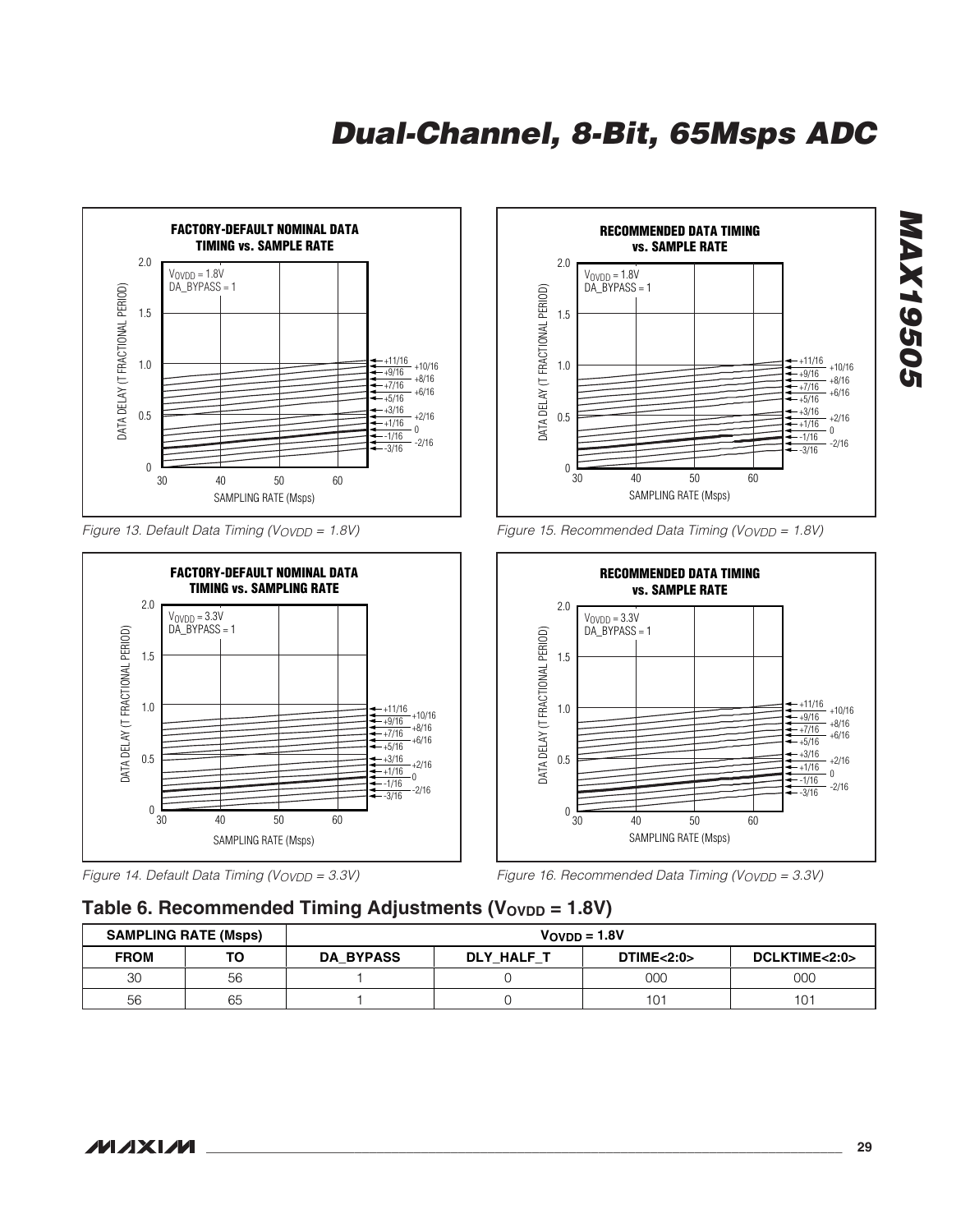

Figure 13. Default Data Timing (VOVDD = 1.8V)



Figure 14. Default Data Timing (VOVDD = 3.3V)



Figure 15. Recommended Data Timing (VOVDD =  $1.8V$ )



Figure 16. Recommended Data Timing ( $V_{\text{OVDD}} = 3.3V$ )

### Table 6. Recommended Timing Adjustments (V<sub>OVDD</sub> = 1.8V)

| <b>SAMPLING RATE (Msps)</b> |    | $V$ OVDD = 1.8V  |            |            |               |
|-----------------------------|----|------------------|------------|------------|---------------|
| <b>FROM</b>                 | то | <b>DA BYPASS</b> | DLY HALF T | DTIME<2:0> | DCLKTIME<2:0> |
| 30                          | 56 |                  |            | 000        | 000           |
| 56                          | 65 |                  |            | $10^-$     | 101           |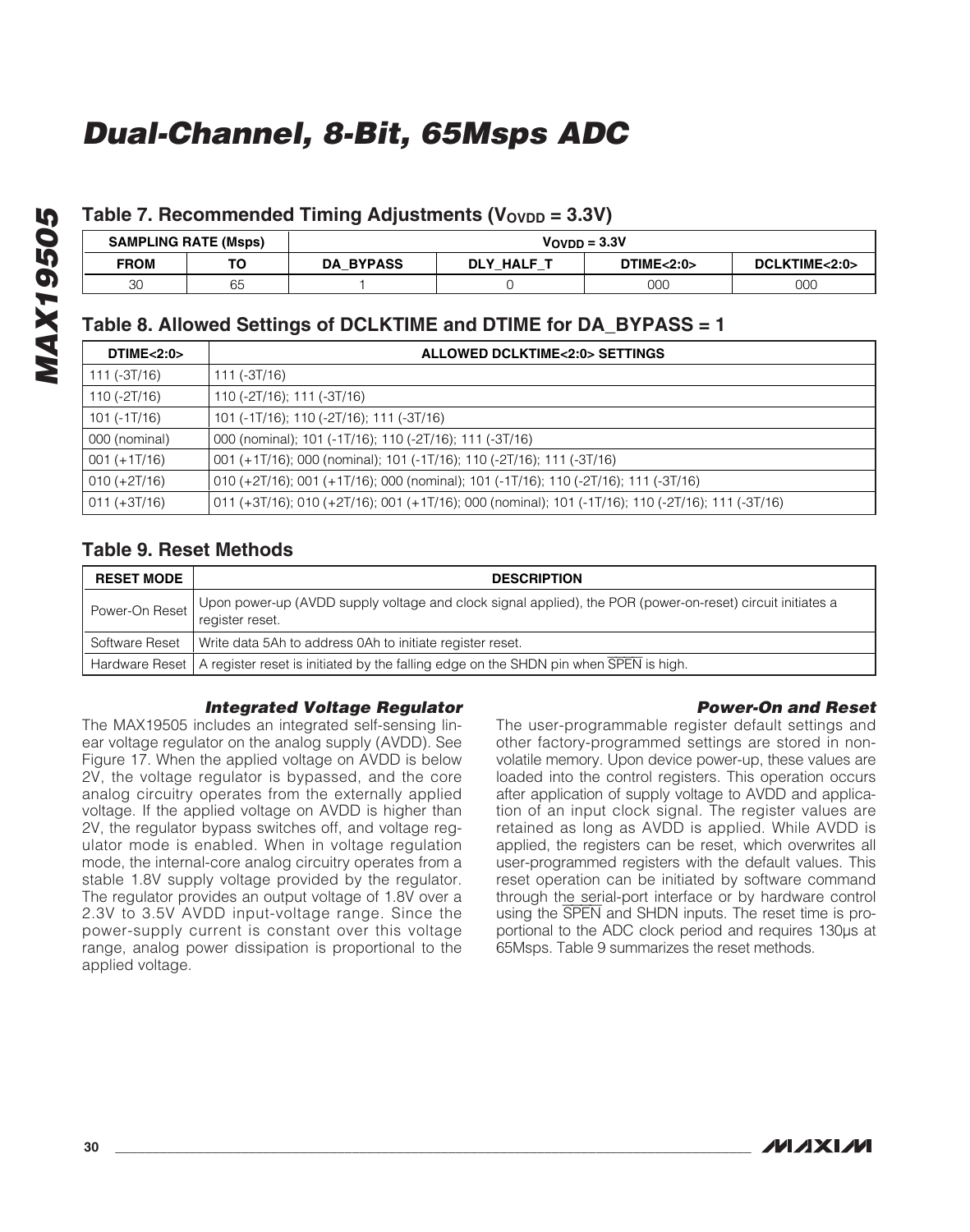### Table 7. Recommended Timing Adjustments (V<sub>OVDD</sub> = 3.3V)

| <b>SAMPLING RATE (Msps)</b> |    | $V$ OVDD = $3.3V$ |            |            |               |
|-----------------------------|----|-------------------|------------|------------|---------------|
| <b>FROM</b>                 | то | <b>DA BYPASS</b>  | DLY HALF T | DTIME<2:0> | DCLKTIME<2:0> |
| 20<br>υU                    | 65 |                   |            | 00C        | 000           |

### **Table 8. Allowed Settings of DCLKTIME and DTIME for DA\_BYPASS = 1**

| DTIME<2:0>       | <b>ALLOWED DCLKTIME&lt;2:0&gt; SETTINGS</b>                                                       |
|------------------|---------------------------------------------------------------------------------------------------|
| $111 (-3T/16)$   | 111 (-3T/16)                                                                                      |
| $110 (-2T/16)$   | 110 (-2T/16); 111 (-3T/16)                                                                        |
| 101 (-1T/16)     | 101 (-1T/16); 110 (-2T/16); 111 (-3T/16)                                                          |
| 000 (nominal)    | 000 (nominal); 101 (-1T/16); 110 (-2T/16); 111 (-3T/16)                                           |
| $001 (+1T/16)$   | 001 (+1T/16); 000 (nominal); 101 (-1T/16); 110 (-2T/16); 111 (-3T/16)                             |
| $010 (+2T/16)$   | 010 (+2T/16); 001 (+1T/16); 000 (nominal); 101 (-1T/16); 110 (-2T/16); 111 (-3T/16)               |
| $ 011 (+3T/16) $ | 011 (+3T/16); 010 (+2T/16); 001 (+1T/16); 000 (nominal); 101 (-1T/16); 110 (-2T/16); 111 (-3T/16) |

### **Table 9. Reset Methods**

| <b>RESET MODE</b> | <b>DESCRIPTION</b>                                                                                                            |
|-------------------|-------------------------------------------------------------------------------------------------------------------------------|
| Power-On Reset    | Upon power-up (AVDD supply voltage and clock signal applied), the POR (power-on-reset) circuit initiates a<br>register reset. |
|                   | Software Reset   Write data 5Ah to address 0Ah to initiate register reset.                                                    |
|                   | Hardware Reset   A register reset is initiated by the falling edge on the SHDN pin when SPEN is high.                         |

#### **Integrated Voltage Regulator**

The MAX19505 includes an integrated self-sensing linear voltage regulator on the analog supply (AVDD). See Figure 17. When the applied voltage on AVDD is below 2V, the voltage regulator is bypassed, and the core analog circuitry operates from the externally applied voltage. If the applied voltage on AVDD is higher than 2V, the regulator bypass switches off, and voltage regulator mode is enabled. When in voltage regulation mode, the internal-core analog circuitry operates from a stable 1.8V supply voltage provided by the regulator. The regulator provides an output voltage of 1.8V over a 2.3V to 3.5V AVDD input-voltage range. Since the power-supply current is constant over this voltage range, analog power dissipation is proportional to the applied voltage.

#### **Power-On and Reset**

The user-programmable register default settings and other factory-programmed settings are stored in nonvolatile memory. Upon device power-up, these values are loaded into the control registers. This operation occurs after application of supply voltage to AVDD and application of an input clock signal. The register values are retained as long as AVDD is applied. While AVDD is applied, the registers can be reset, which overwrites all user-programmed registers with the default values. This reset operation can be initiated by software command through the serial-port interface or by hardware control using the SPEN and SHDN inputs. The reset time is proportional to the ADC clock period and requires 130µs at 65Msps. Table 9 summarizes the reset methods.

**MAXM**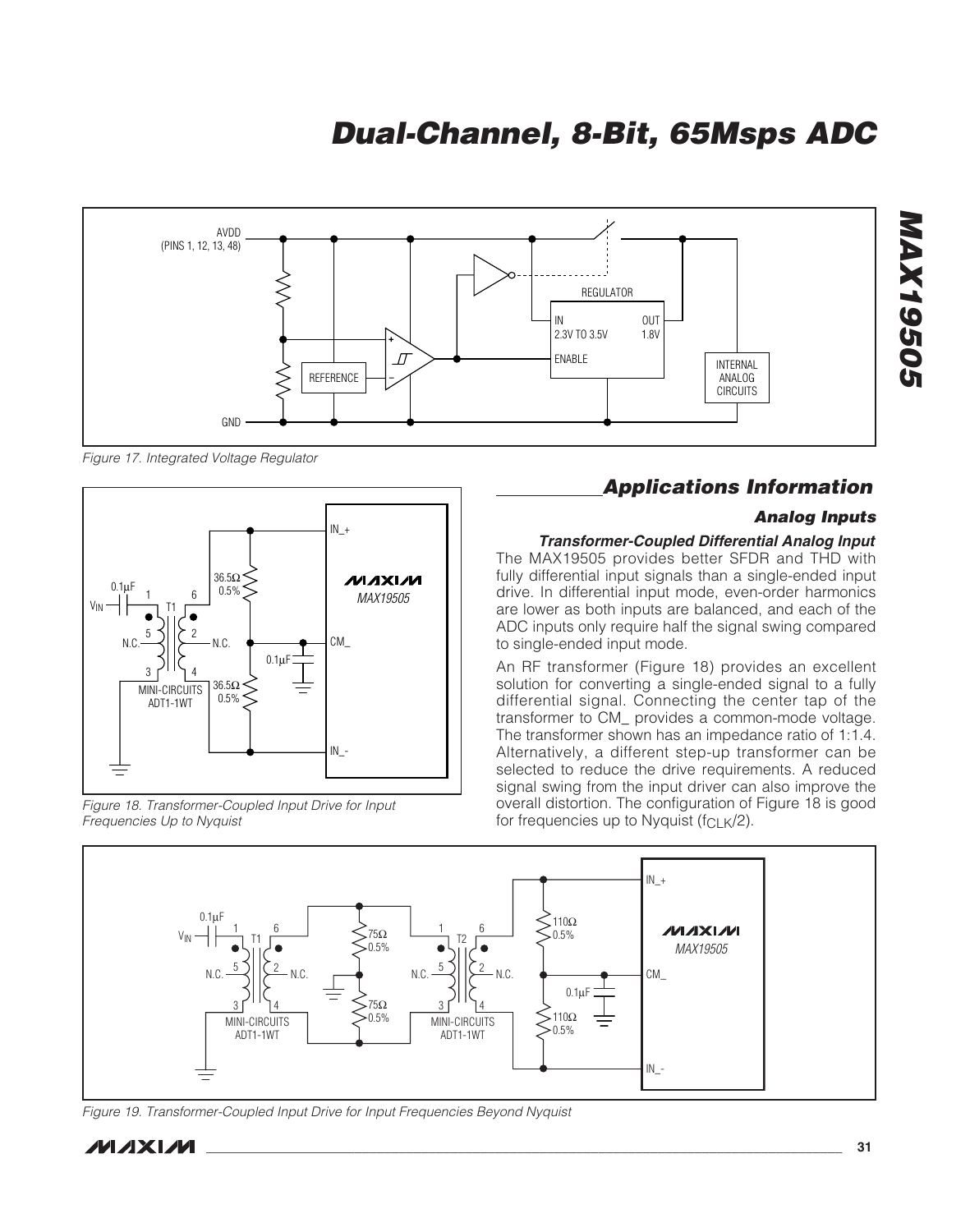

Figure 17. Integrated Voltage Regulator



Figure 18. Transformer-Coupled Input Drive for Input Frequencies Up to Nyquist

### **Applications Information**

#### **Analog Inputs**

#### **Transformer-Coupled Differential Analog Input**

The MAX19505 provides better SFDR and THD with fully differential input signals than a single-ended input drive. In differential input mode, even-order harmonics are lower as both inputs are balanced, and each of the ADC inputs only require half the signal swing compared to single-ended input mode.

An RF transformer (Figure 18) provides an excellent solution for converting a single-ended signal to a fully differential signal. Connecting the center tap of the transformer to CM\_ provides a common-mode voltage. The transformer shown has an impedance ratio of 1:1.4. Alternatively, a different step-up transformer can be selected to reduce the drive requirements. A reduced signal swing from the input driver can also improve the overall distortion. The configuration of Figure 18 is good for frequencies up to Nyquist ( $fC<sub>L</sub>K/2$ ).



Figure 19. Transformer-Coupled Input Drive for Input Frequencies Beyond Nyquist

**MAXM \_\_\_\_\_\_\_\_\_\_\_\_\_\_\_\_\_\_\_\_\_\_\_\_\_\_\_\_\_\_\_\_\_\_\_\_\_\_\_\_\_\_\_\_\_\_\_\_\_\_\_\_\_\_\_\_\_\_\_\_\_\_\_\_\_\_\_\_\_\_\_\_\_\_\_\_\_\_\_\_\_\_\_\_\_\_ 31**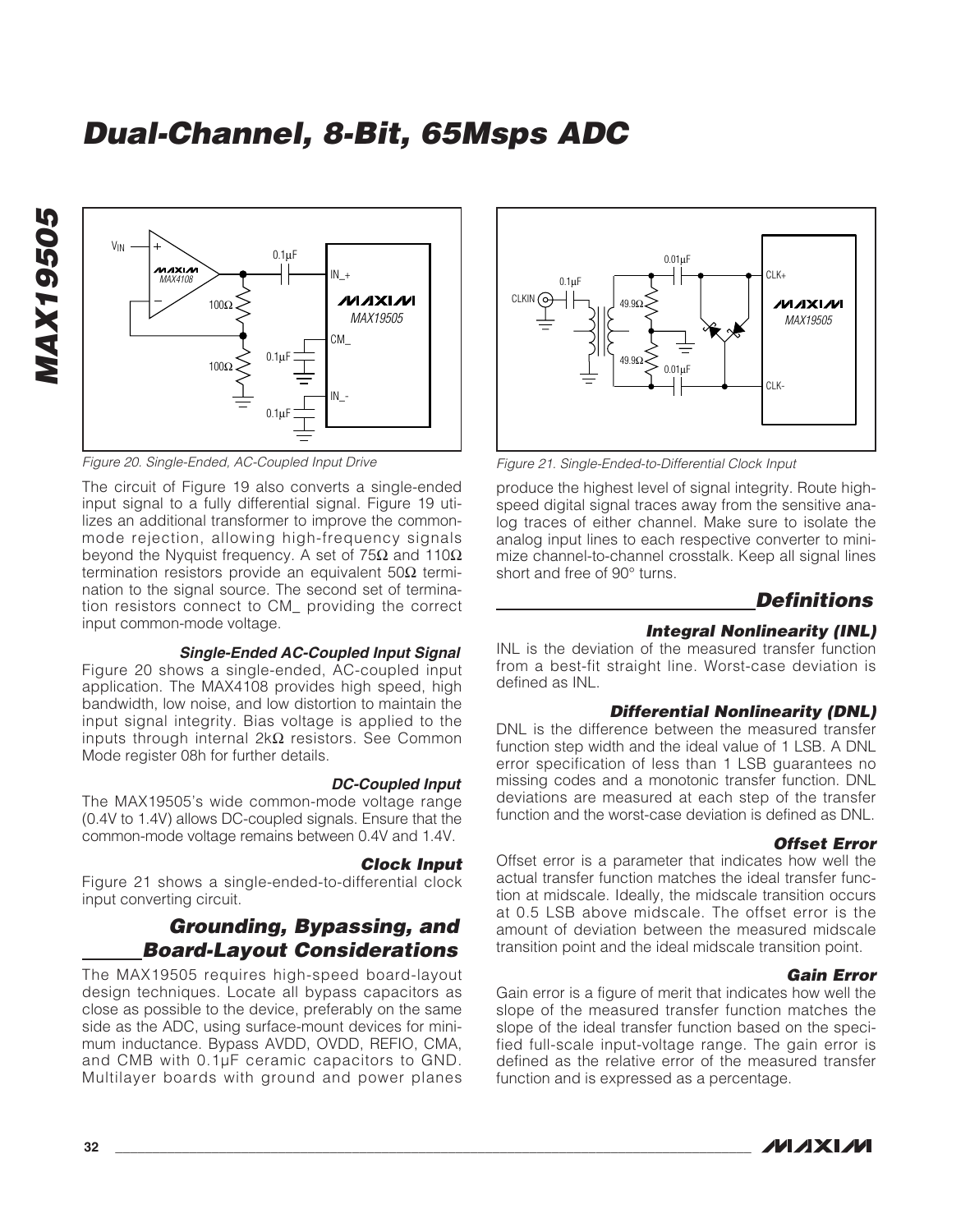

Figure 20. Single-Ended, AC-Coupled Input Drive

The circuit of Figure 19 also converts a single-ended input signal to a fully differential signal. Figure 19 utilizes an additional transformer to improve the commonmode rejection, allowing high-frequency signals beyond the Nyquist frequency. A set of 75 $\Omega$  and 110 $\Omega$ termination resistors provide an equivalent 50 $Ω$  termination to the signal source. The second set of termination resistors connect to CM\_ providing the correct input common-mode voltage.

#### **Single-Ended AC-Coupled Input Signal**

Figure 20 shows a single-ended, AC-coupled input application. The MAX4108 provides high speed, high bandwidth, low noise, and low distortion to maintain the input signal integrity. Bias voltage is applied to the inputs through internal 2kΩ resistors. See Common Mode register 08h for further details.

#### **DC-Coupled Input**

The MAX19505's wide common-mode voltage range (0.4V to 1.4V) allows DC-coupled signals. Ensure that the common-mode voltage remains between 0.4V and 1.4V.

#### **Clock Input**

Figure 21 shows a single-ended-to-differential clock input converting circuit.

### **Grounding, Bypassing, and Board-Layout Considerations**

The MAX19505 requires high-speed board-layout design techniques. Locate all bypass capacitors as close as possible to the device, preferably on the same side as the ADC, using surface-mount devices for minimum inductance. Bypass AVDD, OVDD, REFIO, CMA, and CMB with 0.1µF ceramic capacitors to GND. Multilayer boards with ground and power planes



Figure 21. Single-Ended-to-Differential Clock Input

produce the highest level of signal integrity. Route highspeed digital signal traces away from the sensitive analog traces of either channel. Make sure to isolate the analog input lines to each respective converter to minimize channel-to-channel crosstalk. Keep all signal lines short and free of 90° turns.

### **Definitions**

#### **Integral Nonlinearity (INL)**

INL is the deviation of the measured transfer function from a best-fit straight line. Worst-case deviation is defined as INL.

#### **Differential Nonlinearity (DNL)**

DNL is the difference between the measured transfer function step width and the ideal value of 1 LSB. A DNL error specification of less than 1 LSB guarantees no missing codes and a monotonic transfer function. DNL deviations are measured at each step of the transfer function and the worst-case deviation is defined as DNL.

#### **Offset Error**

Offset error is a parameter that indicates how well the actual transfer function matches the ideal transfer function at midscale. Ideally, the midscale transition occurs at 0.5 LSB above midscale. The offset error is the amount of deviation between the measured midscale transition point and the ideal midscale transition point.

#### **Gain Error**

Gain error is a figure of merit that indicates how well the slope of the measured transfer function matches the slope of the ideal transfer function based on the specified full-scale input-voltage range. The gain error is defined as the relative error of the measured transfer function and is expressed as a percentage.



**MAX19505**

**MAX19505**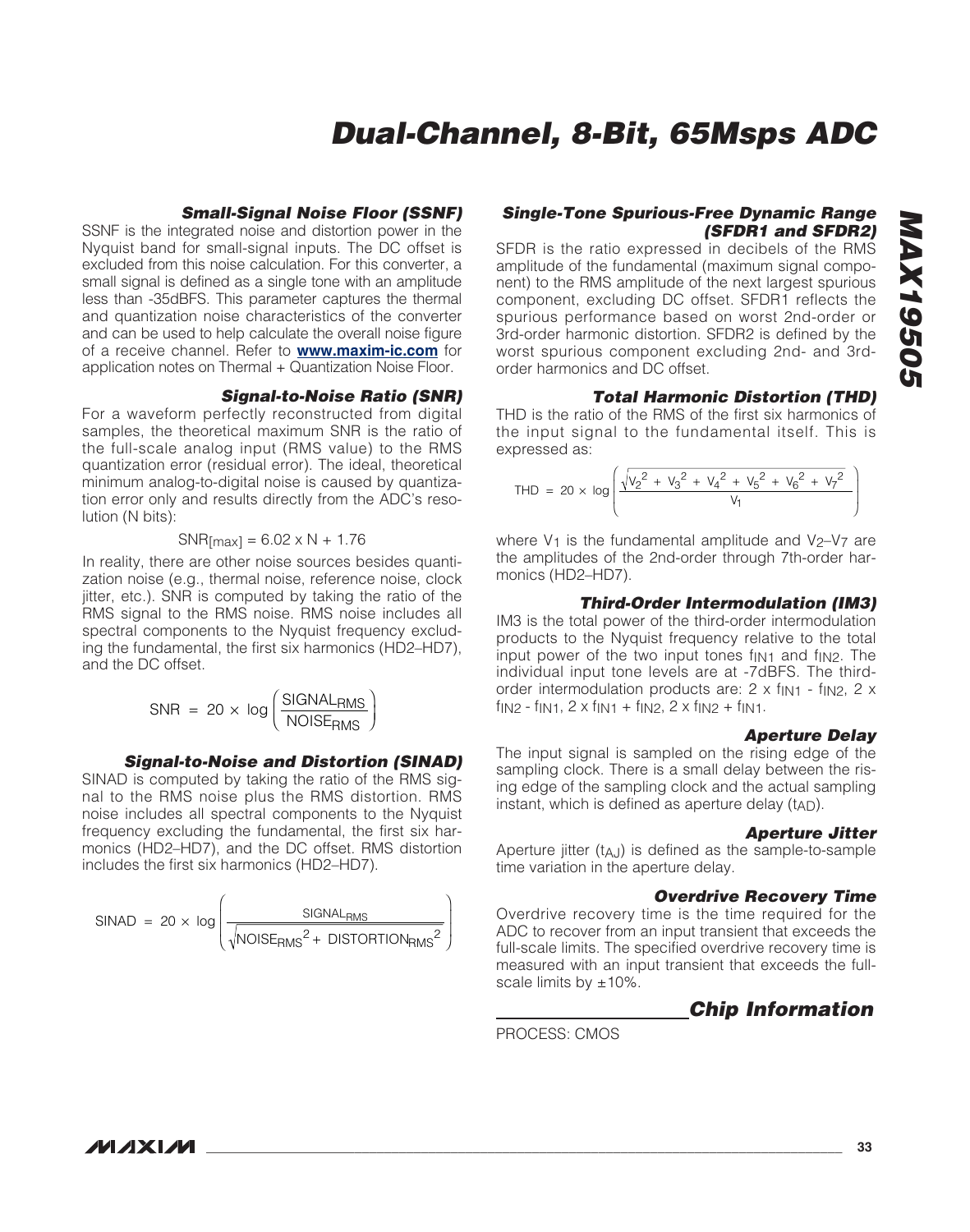#### **Small-Signal Noise Floor (SSNF)**

SSNF is the integrated noise and distortion power in the Nyquist band for small-signal inputs. The DC offset is excluded from this noise calculation. For this converter, a small signal is defined as a single tone with an amplitude less than -35dBFS. This parameter captures the thermal and quantization noise characteristics of the converter and can be used to help calculate the overall noise figure of a receive channel. Refer to **www.maxim-ic.com** for application notes on Thermal + Quantization Noise Floor.

#### **Signal-to-Noise Ratio (SNR)**

For a waveform perfectly reconstructed from digital samples, the theoretical maximum SNR is the ratio of the full-scale analog input (RMS value) to the RMS quantization error (residual error). The ideal, theoretical minimum analog-to-digital noise is caused by quantization error only and results directly from the ADC's resolution (N bits):

$$
SNR_{[max]} = 6.02 \times N + 1.76
$$

In reality, there are other noise sources besides quantization noise (e.g., thermal noise, reference noise, clock jitter, etc.). SNR is computed by taking the ratio of the RMS signal to the RMS noise. RMS noise includes all spectral components to the Nyquist frequency excluding the fundamental, the first six harmonics (HD2–HD7), and the DC offset.

$$
SNR = 20 \times \log \left( \frac{SIGNAL_{RMS}}{NOISE_{RMS}} \right)
$$

#### **Signal-to-Noise and Distortion (SINAD)**

SINAD is computed by taking the ratio of the RMS signal to the RMS noise plus the RMS distortion. RMS noise includes all spectral components to the Nyquist frequency excluding the fundamental, the first six harmonics (HD2–HD7), and the DC offset. RMS distortion includes the first six harmonics (HD2–HD7).

$$
SINAD = 20 \times \log \left( \frac{SIGNAL_{RMS}}{\sqrt{NOISE_{RMS}^{2} + DISTORTION_{RMS}^{2}}}\right)
$$

#### **Single-Tone Spurious-Free Dynamic Range (SFDR1 and SFDR2)**

SFDR is the ratio expressed in decibels of the RMS amplitude of the fundamental (maximum signal component) to the RMS amplitude of the next largest spurious component, excluding DC offset. SFDR1 reflects the spurious performance based on worst 2nd-order or 3rd-order harmonic distortion. SFDR2 is defined by the worst spurious component excluding 2nd- and 3rdorder harmonics and DC offset.

#### **Total Harmonic Distortion (THD)**

THD is the ratio of the RMS of the first six harmonics of the input signal to the fundamental itself. This is expressed as:

$$
\text{THD} = 20 \times \log \left( \frac{\sqrt{v_2^2 + v_3^2 + v_4^2 + v_5^2 + v_6^2 + v_7^2}}{v_1} \right)
$$

where  $V_1$  is the fundamental amplitude and  $V_2-V_7$  are the amplitudes of the 2nd-order through 7th-order harmonics (HD2–HD7).

#### **Third-Order Intermodulation (IM3)**

IM3 is the total power of the third-order intermodulation products to the Nyquist frequency relative to the total input power of the two input tones  $f_{\text{IN1}}$  and  $f_{\text{IN2}}$ . The individual input tone levels are at -7dBFS. The thirdorder intermodulation products are: 2 x fin1 - fin2, 2 x  $f_{IN2} - f_{IN1}$ ,  $2 \times f_{IN1} + f_{IN2}$ ,  $2 \times f_{IN2} + f_{IN1}$ .

#### **Aperture Delay**

The input signal is sampled on the rising edge of the sampling clock. There is a small delay between the rising edge of the sampling clock and the actual sampling instant, which is defined as aperture delay  $(t_{AD})$ .

#### **Aperture Jitter**

Aperture jitter (t<sub>AJ</sub>) is defined as the sample-to-sample time variation in the aperture delay.

#### **Overdrive Recovery Time**

Overdrive recovery time is the time required for the ADC to recover from an input transient that exceeds the full-scale limits. The specified overdrive recovery time is measured with an input transient that exceeds the fullscale limits by  $\pm 10\%$ .

### **Chip Information**

PROCESS: CMOS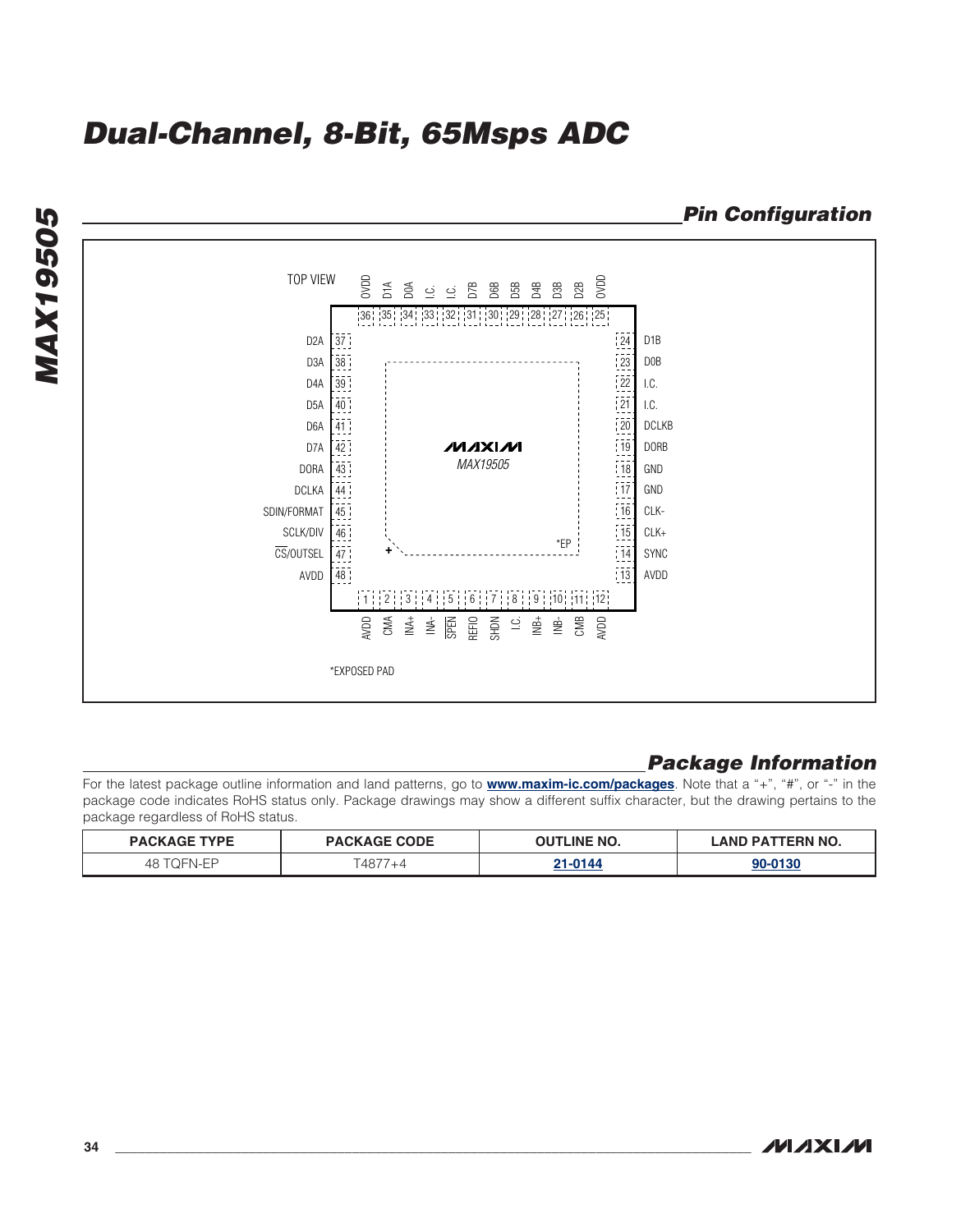

### **Package Information**

For the latest package outline information and land patterns, go to **[www.maxim-ic.com/packages](http://www.maxim-ic.com/packages)**. Note that a "+", "#", or "-" in the package code indicates RoHS status only. Package drawings may show a different suffix character, but the drawing pertains to the package regardless of RoHS status.

| PACK'<br><b>'YPE</b> | <b>CODE</b><br><b>PACKAGE</b> | IITI INF<br>™ NO.<br>ור | <b>TERN NO.</b><br><b>AND</b><br>DA. |
|----------------------|-------------------------------|-------------------------|--------------------------------------|
| 48                   | T A 077<br>$\rightarrow$      | 21.0144                 |                                      |